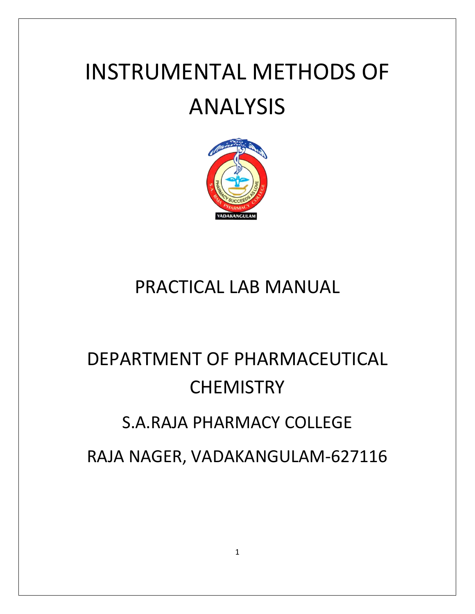# INSTRUMENTAL METHODS OF ANALYSIS



# PRACTICAL LAB MANUAL

# DEPARTMENT OF PHARMACEUTICAL **CHEMISTRY** S.A.RAJA PHARMACY COLLEGE RAJA NAGER, VADAKANGULAM-627116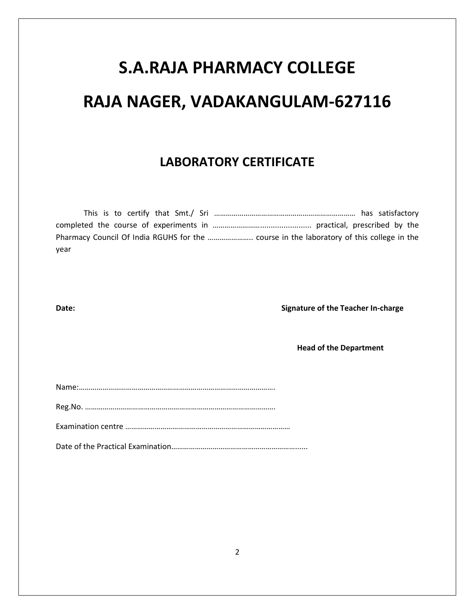# **S.A.RAJA PHARMACY COLLEGE RAJA NAGER, VADAKANGULAM-627116**

# **LABORATORY CERTIFICATE**

| vear |
|------|

**Date:** Signature of the Teacher In-charge

**Head of the Department** 

|--|

Reg.No. …………………………………………………………………………………….

Examination centre …………………………………………………………………………

Date of the Practical Examination………………………………………………………......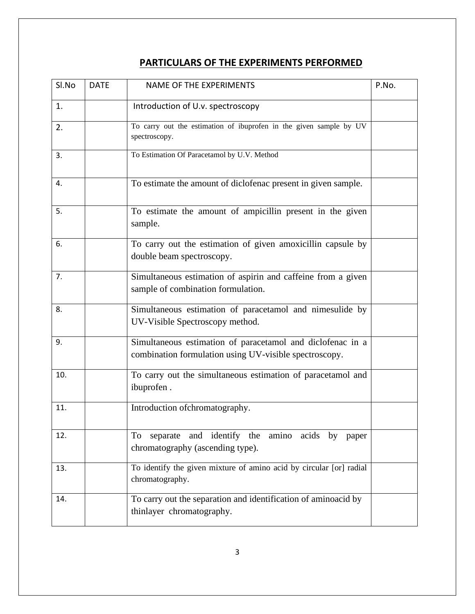## **PARTICULARS OF THE EXPERIMENTS PERFORMED**

| Sl.No | <b>DATE</b> | <b>NAME OF THE EXPERIMENTS</b>                                                                                       | P.No. |
|-------|-------------|----------------------------------------------------------------------------------------------------------------------|-------|
| 1.    |             | Introduction of U.v. spectroscopy                                                                                    |       |
| 2.    |             | To carry out the estimation of ibuprofen in the given sample by UV<br>spectroscopy.                                  |       |
| 3.    |             | To Estimation Of Paracetamol by U.V. Method                                                                          |       |
| 4.    |             | To estimate the amount of diclofenac present in given sample.                                                        |       |
| 5.    |             | To estimate the amount of ampicillin present in the given<br>sample.                                                 |       |
| 6.    |             | To carry out the estimation of given amoxicillin capsule by<br>double beam spectroscopy.                             |       |
| 7.    |             | Simultaneous estimation of aspirin and caffeine from a given<br>sample of combination formulation.                   |       |
| 8.    |             | Simultaneous estimation of paracetamol and nimesulide by<br>UV-Visible Spectroscopy method.                          |       |
| 9.    |             | Simultaneous estimation of paracetamol and diclofenac in a<br>combination formulation using UV-visible spectroscopy. |       |
| 10.   |             | To carry out the simultaneous estimation of paracetamol and<br>ibuprofen.                                            |       |
| 11.   |             | Introduction of chromatography.                                                                                      |       |
| 12.   |             | and identify the amino acids by paper<br>To<br>separate<br>chromatography (ascending type).                          |       |
| 13.   |             | To identify the given mixture of amino acid by circular [or] radial<br>chromatography.                               |       |
| 14.   |             | To carry out the separation and identification of aminoacid by<br>thinlayer chromatography.                          |       |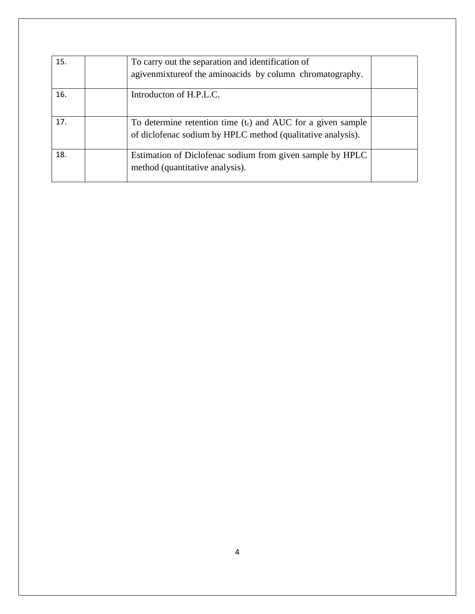| 15. | To carry out the separation and identification of<br>agiven mixture of the aminoacids by column chromatography.               |  |
|-----|-------------------------------------------------------------------------------------------------------------------------------|--|
| 16. | Introducton of H.P.L.C.                                                                                                       |  |
| 17. | To determine retention time $(t_r)$ and AUC for a given sample<br>of diclofenac sodium by HPLC method (qualitative analysis). |  |
| 18. | Estimation of Diclofenac sodium from given sample by HPLC<br>method (quantitative analysis).                                  |  |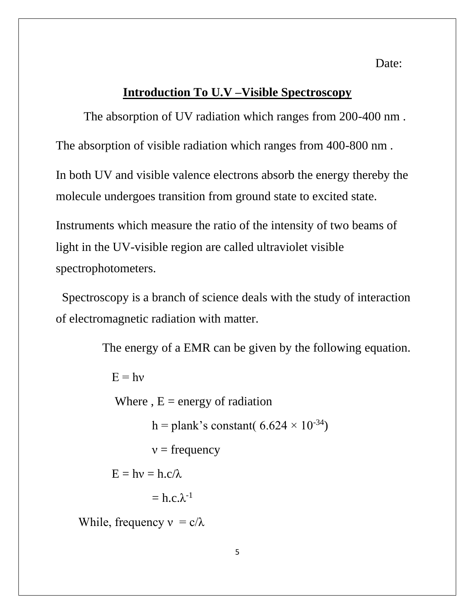Date:

#### **Introduction To U.V –Visible Spectroscopy**

The absorption of UV radiation which ranges from 200-400 nm .

The absorption of visible radiation which ranges from 400-800 nm .

In both UV and visible valence electrons absorb the energy thereby the molecule undergoes transition from ground state to excited state.

Instruments which measure the ratio of the intensity of two beams of light in the UV-visible region are called ultraviolet visible spectrophotometers.

Spectroscopy is a branch of science deals with the study of interaction of electromagnetic radiation with matter.

The energy of a EMR can be given by the following equation.

 $E = hv$ Where ,  $E =$  energy of radiation h = plank's constant(  $6.624 \times 10^{-34}$ )  $v = \text{frequency}$  $E = hv = h.c/\lambda$  $=$  h.c. $\lambda$ <sup>-1</sup> While, frequency  $v = c/\lambda$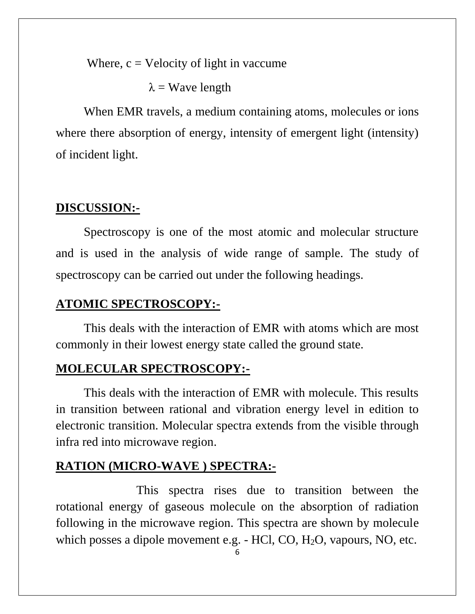Where,  $c =$  Velocity of light in vaccume

 $\lambda$  = Wave length

When EMR travels, a medium containing atoms, molecules or ions where there absorption of energy, intensity of emergent light (intensity) of incident light.

# **DISCUSSION:-**

Spectroscopy is one of the most atomic and molecular structure and is used in the analysis of wide range of sample. The study of spectroscopy can be carried out under the following headings.

# **ATOMIC SPECTROSCOPY:-**

This deals with the interaction of EMR with atoms which are most commonly in their lowest energy state called the ground state.

# **MOLECULAR SPECTROSCOPY:-**

This deals with the interaction of EMR with molecule. This results in transition between rational and vibration energy level in edition to electronic transition. Molecular spectra extends from the visible through infra red into microwave region.

# **RATION (MICRO-WAVE ) SPECTRA:-**

 This spectra rises due to transition between the rotational energy of gaseous molecule on the absorption of radiation following in the microwave region. This spectra are shown by molecule which posses a dipole movement e.g. - HCl, CO, H<sub>2</sub>O, vapours, NO, etc.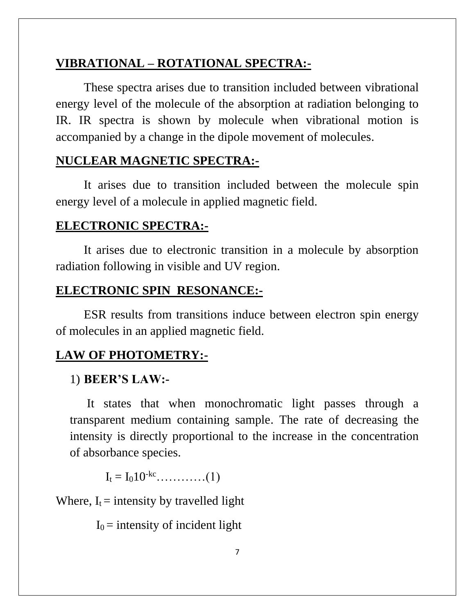# **VIBRATIONAL – ROTATIONAL SPECTRA:-**

These spectra arises due to transition included between vibrational energy level of the molecule of the absorption at radiation belonging to IR. IR spectra is shown by molecule when vibrational motion is accompanied by a change in the dipole movement of molecules.

## **NUCLEAR MAGNETIC SPECTRA:-**

It arises due to transition included between the molecule spin energy level of a molecule in applied magnetic field.

#### **ELECTRONIC SPECTRA:-**

 It arises due to electronic transition in a molecule by absorption radiation following in visible and UV region.

#### **ELECTRONIC SPIN RESONANCE:-**

ESR results from transitions induce between electron spin energy of molecules in an applied magnetic field.

### **LAW OF PHOTOMETRY:-**

#### 1) **BEER'S LAW:-**

It states that when monochromatic light passes through a transparent medium containing sample. The rate of decreasing the intensity is directly proportional to the increase in the concentration of absorbance species.

I<sup>t</sup> = I010-kc…………(1)

Where,  $I_t$  = intensity by travelled light

 $I_0$  = intensity of incident light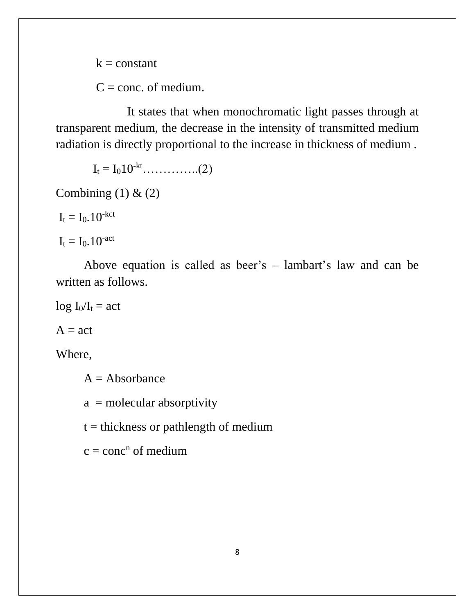$k = constant$ 

 $C = \text{conc. of medium.}$ 

 It states that when monochromatic light passes through at transparent medium, the decrease in the intensity of transmitted medium radiation is directly proportional to the increase in thickness of medium .

 $I_t = I_0 10^{-kt}$ …………...(2)

Combining  $(1)$  &  $(2)$ 

 $I_t = I_0$ . 10<sup>-kct</sup>

 $I_t = I_0.10$ <sup>-act</sup>

Above equation is called as beer's – lambart's law and can be written as follows.

 $log I_0/I_t = act$ 

 $A = act$ 

Where,

 $A = Absorbance$ 

 $a =$  molecular absorptivity

 $t =$  thickness or pathlength of medium

 $c = conc<sup>n</sup>$  of medium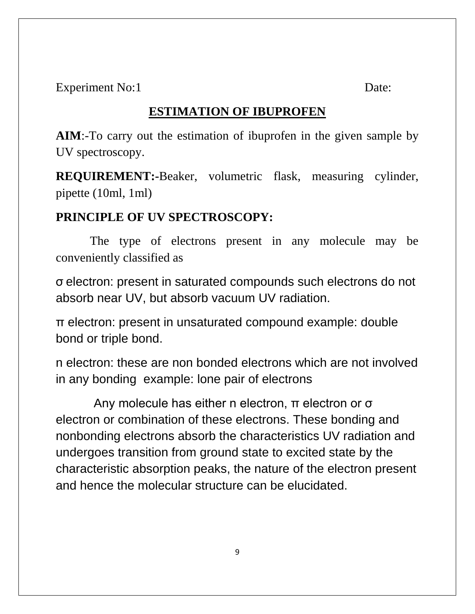Experiment No:1 Date:

# **ESTIMATION OF IBUPROFEN**

**AIM**:-To carry out the estimation of ibuprofen in the given sample by UV spectroscopy.

**REQUIREMENT:-**Beaker, volumetric flask, measuring cylinder, pipette (10ml, 1ml)

# **PRINCIPLE OF UV SPECTROSCOPY:**

The type of electrons present in any molecule may be conveniently classified as

σ electron: present in saturated compounds such electrons do not absorb near UV, but absorb vacuum UV radiation.

π electron: present in unsaturated compound example: double bond or triple bond.

n electron: these are non bonded electrons which are not involved in any bonding example: lone pair of electrons

 Any molecule has either n electron, π electron or σ electron or combination of these electrons. These bonding and nonbonding electrons absorb the characteristics UV radiation and undergoes transition from ground state to excited state by the characteristic absorption peaks, the nature of the electron present and hence the molecular structure can be elucidated.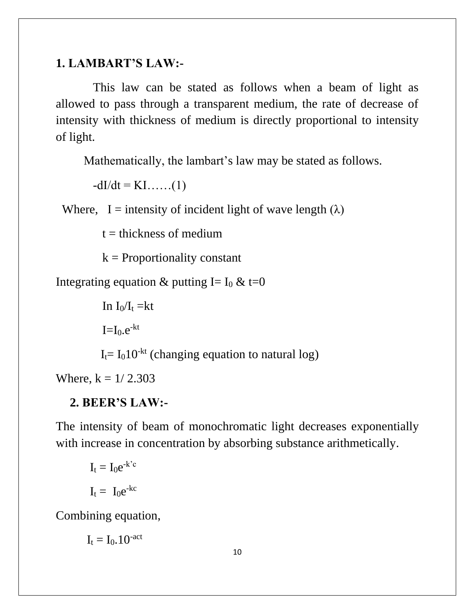# **1. LAMBART'S LAW:-**

 This law can be stated as follows when a beam of light as allowed to pass through a transparent medium, the rate of decrease of intensity with thickness of medium is directly proportional to intensity of light.

Mathematically, the lambart's law may be stated as follows.

 $-dI/dt = KI$ ……(1)

Where, I = intensity of incident light of wave length  $(\lambda)$ 

 $t =$  thickness of medium

 $k =$  Proportionality constant

Integrating equation & putting I=  $I_0$  & t=0

In  $I_0/I_t = kt$ 

 $I=I<sub>0</sub>.e<sup>-kt</sup>$ 

 $I_t = I_0 10<sup>-kt</sup>$  (changing equation to natural log)

Where,  $k = 1/2.303$ 

# **2. BEER'S LAW:-**

The intensity of beam of monochromatic light decreases exponentially with increase in concentration by absorbing substance arithmetically.

$$
I_t = I_0 e^{-k'c}
$$

$$
I_t = I_0 e^{-kc}
$$

Combining equation,

 $I_t = I_0$ , 10<sup>-act</sup>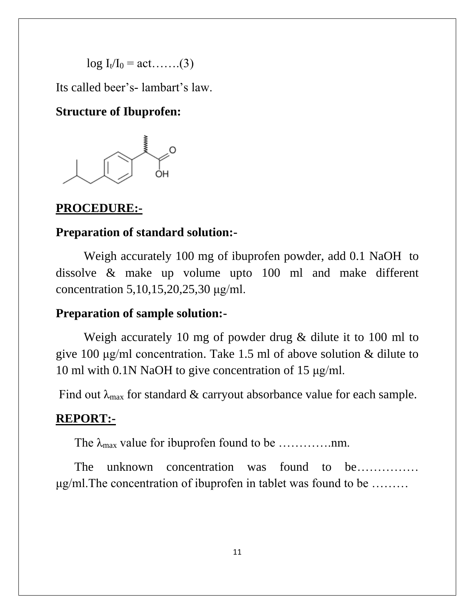$log I_{t}/I_{0} = act$ …...(3)

Its called beer's- lambart's law.

## **Structure of Ibuprofen:**



#### **PROCEDURE:-**

#### **Preparation of standard solution:-**

 Weigh accurately 100 mg of ibuprofen powder, add 0.1 NaOH to dissolve & make up volume upto 100 ml and make different concentration 5,10,15,20,25,30 μg/ml.

## **Preparation of sample solution:-**

Weigh accurately 10 mg of powder drug & dilute it to 100 ml to give 100 μg/ml concentration. Take 1.5 ml of above solution & dilute to 10 ml with 0.1N NaOH to give concentration of 15 μg/ml.

Find out  $\lambda_{\text{max}}$  for standard & carryout absorbance value for each sample.

#### **REPORT:-**

The λmax value for ibuprofen found to be ………….nm.

The unknown concentration was found to be…………… μg/ml.The concentration of ibuprofen in tablet was found to be ………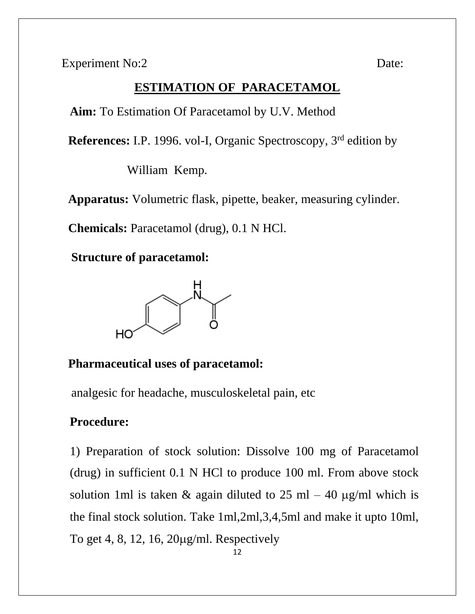Experiment No:2 Date:

# **ESTIMATION OF PARACETAMOL**

**Aim:** To Estimation Of Paracetamol by U.V. Method

 **References:** I.P. 1996. vol-I, Organic Spectroscopy, 3rd edition by

William Kemp.

**Apparatus:** Volumetric flask, pipette, beaker, measuring cylinder.

 **Chemicals:** Paracetamol (drug), 0.1 N HCl.

**Structure of paracetamol:**



# **Pharmaceutical uses of paracetamol:**

analgesic for headache, musculoskeletal pain, etc

## **Procedure:**

1) Preparation of stock solution: Dissolve 100 mg of Paracetamol (drug) in sufficient 0.1 N HCl to produce 100 ml. From above stock solution 1ml is taken & again diluted to 25 ml  $-$  40  $\mu$ g/ml which is the final stock solution. Take 1ml,2ml,3,4,5ml and make it upto 10ml, To get 4, 8, 12, 16,  $20\mu\text{g/ml}$ . Respectively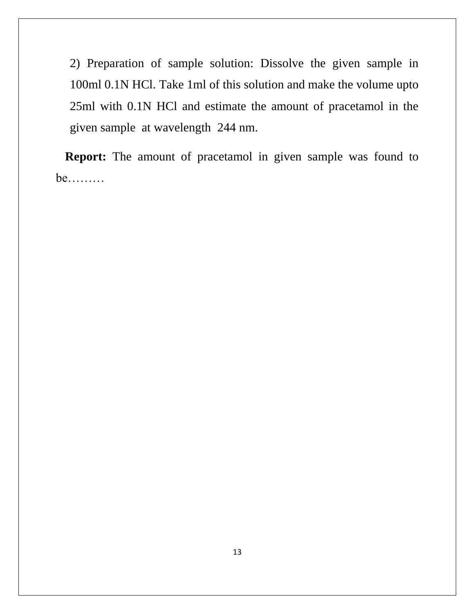2) Preparation of sample solution: Dissolve the given sample in 100ml 0.1N HCl. Take 1ml of this solution and make the volume upto 25ml with 0.1N HCl and estimate the amount of pracetamol in the given sample at wavelength 244 nm.

 **Report:** The amount of pracetamol in given sample was found to be………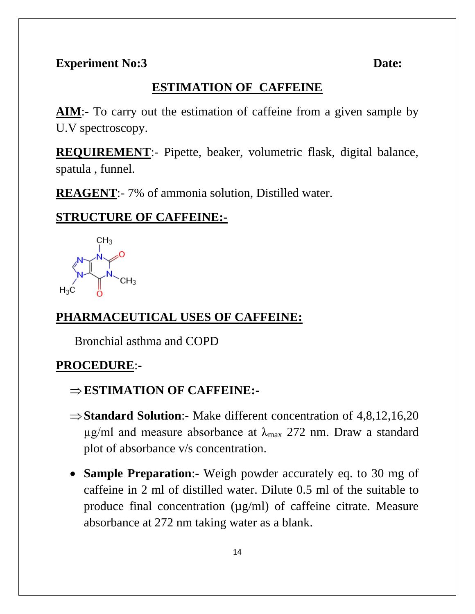# **ESTIMATION OF CAFFEINE**

**AIM**:- To carry out the estimation of caffeine from a given sample by U.V spectroscopy.

**REQUIREMENT**:- Pipette, beaker, volumetric flask, digital balance, spatula , funnel.

**REAGENT**:- 7% of ammonia solution, Distilled water.

# **STRUCTURE OF CAFFEINE:-**



# **PHARMACEUTICAL USES OF CAFFEINE:**

Bronchial asthma and COPD

# **PROCEDURE**:-

- **ESTIMATION OF CAFFEINE:-**
- $\Rightarrow$  **Standard Solution**:- Make different concentration of 4,8,12,16,20  $\mu$ g/ml and measure absorbance at  $\lambda_{\text{max}}$  272 nm. Draw a standard plot of absorbance v/s concentration.
- **Sample Preparation**:- Weigh powder accurately eq. to 30 mg of caffeine in 2 ml of distilled water. Dilute 0.5 ml of the suitable to produce final concentration  $(\mu g/ml)$  of caffeine citrate. Measure absorbance at 272 nm taking water as a blank.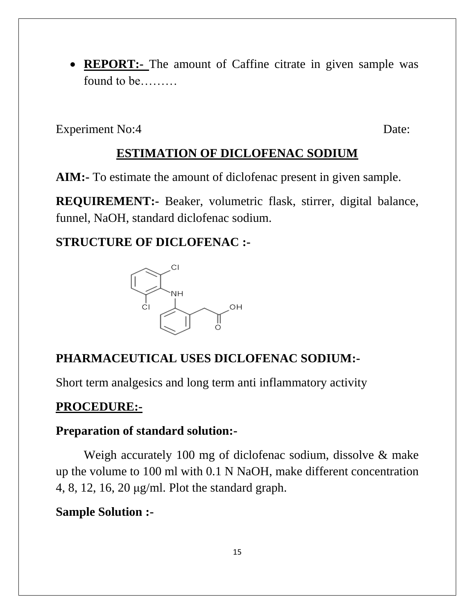• **REPORT:-** The amount of Caffine citrate in given sample was found to be………

Experiment No:4 Date:

# **ESTIMATION OF DICLOFENAC SODIUM**

**AIM:-** To estimate the amount of diclofenac present in given sample.

**REQUIREMENT:-** Beaker, volumetric flask, stirrer, digital balance, funnel, NaOH, standard diclofenac sodium.

# **STRUCTURE OF DICLOFENAC :-**



# **PHARMACEUTICAL USES DICLOFENAC SODIUM:-**

Short term analgesics and long term anti inflammatory activity

# **PROCEDURE:-**

# **Preparation of standard solution:-**

Weigh accurately 100 mg of diclofenac sodium, dissolve & make up the volume to 100 ml with 0.1 N NaOH, make different concentration 4, 8, 12, 16, 20 μg/ml. Plot the standard graph.

# **Sample Solution :-**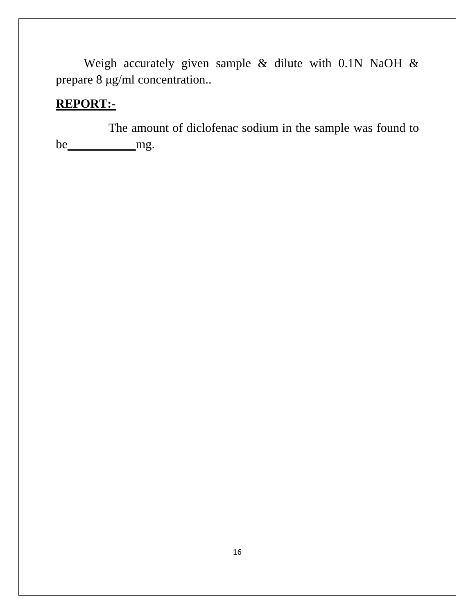Weigh accurately given sample & dilute with 0.1N NaOH & prepare 8 μg/ml concentration..

# **REPORT:-**

 The amount of diclofenac sodium in the sample was found to be\_\_\_\_\_\_\_\_\_\_\_mg.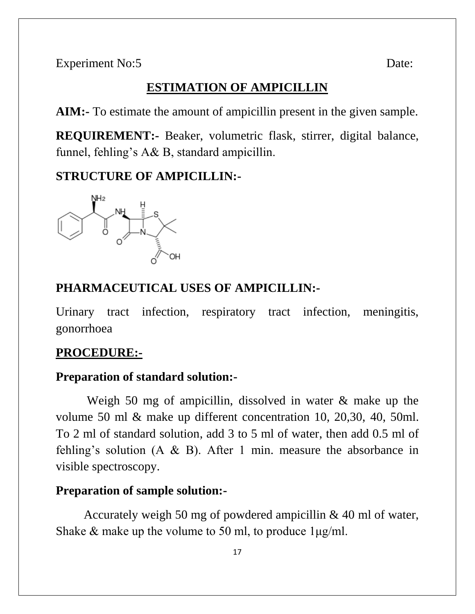### **ESTIMATION OF AMPICILLIN**

**AIM:-** To estimate the amount of ampicillin present in the given sample.

**REQUIREMENT:-** Beaker, volumetric flask, stirrer, digital balance, funnel, fehling's A& B, standard ampicillin.

# **STRUCTURE OF AMPICILLIN:-**



#### **PHARMACEUTICAL USES OF AMPICILLIN:-**

Urinary tract infection, respiratory tract infection, meningitis, gonorrhoea

#### **PROCEDURE:-**

### **Preparation of standard solution:-**

Weigh 50 mg of ampicillin, dissolved in water & make up the volume 50 ml & make up different concentration 10, 20,30, 40, 50ml. To 2 ml of standard solution, add 3 to 5 ml of water, then add 0.5 ml of fehling's solution  $(A \& B)$ . After 1 min. measure the absorbance in visible spectroscopy.

### **Preparation of sample solution:-**

Accurately weigh 50 mg of powdered ampicillin & 40 ml of water, Shake & make up the volume to 50 ml, to produce  $1\mu g/ml$ .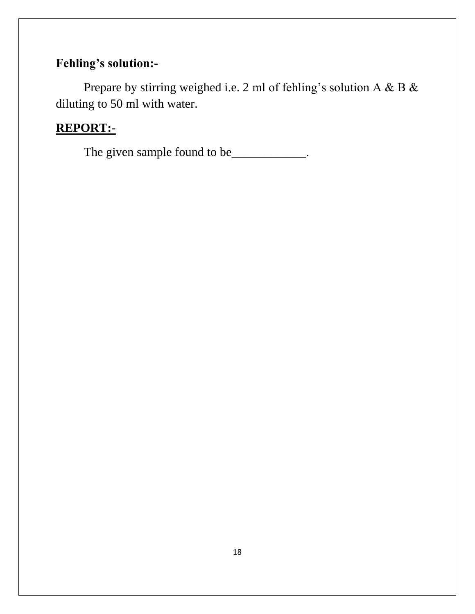# **Fehling's solution:-**

Prepare by stirring weighed i.e. 2 ml of fehling's solution A & B & diluting to 50 ml with water.

# **REPORT:-**

The given sample found to be\_\_\_\_\_\_\_\_\_\_\_\_.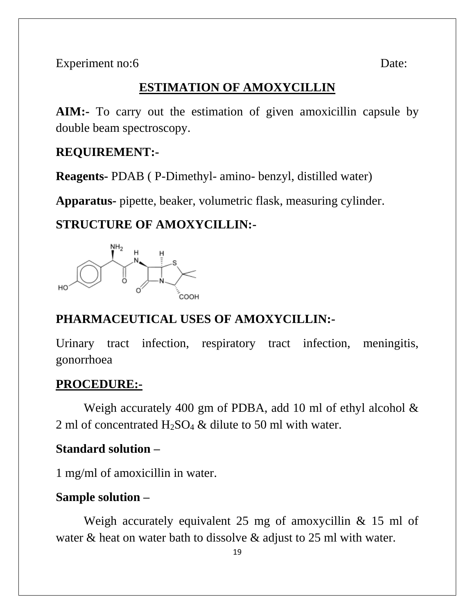Experiment no:6 Date:

# **ESTIMATION OF AMOXYCILLIN**

**AIM:-** To carry out the estimation of given amoxicillin capsule by double beam spectroscopy.

#### **REQUIREMENT:-**

**Reagents-** PDAB ( P-Dimethyl- amino- benzyl, distilled water)

**Apparatus-** pipette, beaker, volumetric flask, measuring cylinder.

# **STRUCTURE OF AMOXYCILLIN:-**



# **PHARMACEUTICAL USES OF AMOXYCILLIN:-**

Urinary tract infection, respiratory tract infection, meningitis, gonorrhoea

#### **PROCEDURE:-**

Weigh accurately 400 gm of PDBA, add 10 ml of ethyl alcohol & 2 ml of concentrated  $H_2SO_4 \&$  dilute to 50 ml with water.

## **Standard solution –**

1 mg/ml of amoxicillin in water.

## **Sample solution –**

Weigh accurately equivalent 25 mg of amoxycillin & 15 ml of water & heat on water bath to dissolve & adjust to 25 ml with water.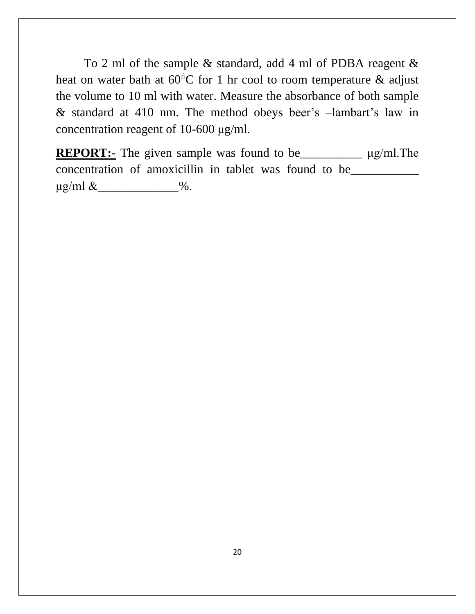To 2 ml of the sample & standard, add 4 ml of PDBA reagent & heat on water bath at  $60^{\circ}$ C for 1 hr cool to room temperature & adjust the volume to 10 ml with water. Measure the absorbance of both sample & standard at 410 nm. The method obeys beer's –lambart's law in concentration reagent of 10-600 μg/ml.

**REPORT:-** The given sample was found to be\_\_\_\_\_\_\_\_\_\_ μg/ml.The concentration of amoxicillin in tablet was found to be\_\_\_\_\_\_\_\_\_\_\_  $\mu$ g/ml &  $\qquad \qquad \%$ .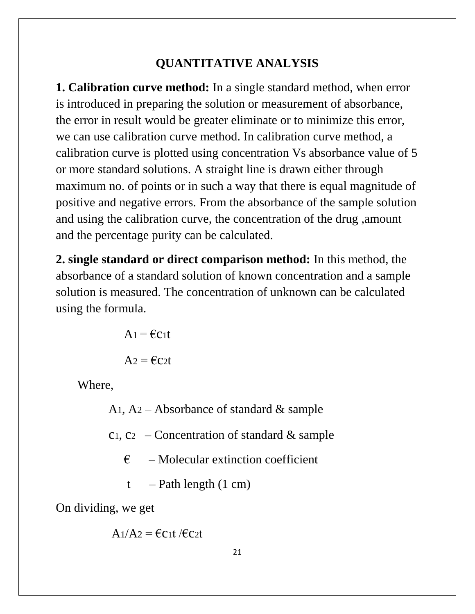# **QUANTITATIVE ANALYSIS**

**1. Calibration curve method:** In a single standard method, when error is introduced in preparing the solution or measurement of absorbance, the error in result would be greater eliminate or to minimize this error, we can use calibration curve method. In calibration curve method, a calibration curve is plotted using concentration Vs absorbance value of 5 or more standard solutions. A straight line is drawn either through maximum no. of points or in such a way that there is equal magnitude of positive and negative errors. From the absorbance of the sample solution and using the calibration curve, the concentration of the drug ,amount and the percentage purity can be calculated.

**2. single standard or direct comparison method:** In this method, the absorbance of a standard solution of known concentration and a sample solution is measured. The concentration of unknown can be calculated using the formula.

> $A_1 = \epsilon C_1 t$  $A_2 = \epsilon C_2 t$

Where,

A<sub>1</sub>, A<sub>2</sub> – Absorbance of standard  $\&$  sample

 $c_1, c_2$  – Concentration of standard & sample

 $\epsilon$  – Molecular extinction coefficient

 $t$  – Path length  $(1 \text{ cm})$ 

On dividing, we get

$$
A_1/A_2 = \text{fct } / \text{fct}
$$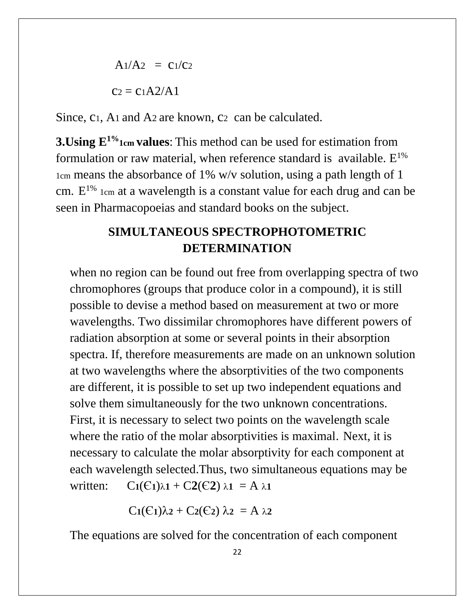$$
A1/A2 = C1/C2
$$

$$
C2 = C1A2/A1
$$

Since,  $c_1$ , A<sub>1</sub> and A<sub>2</sub> are known,  $c_2$  can be calculated.

**3.Using E1%1cm values**: This method can be used for estimation from formulation or raw material, when reference standard is available.  $E^{1\%}$ 1cm means the absorbance of 1% w/v solution, using a path length of 1 cm.  $E^{1\%}$  1cm at a wavelength is a constant value for each drug and can be seen in Pharmacopoeias and standard books on the subject.

# **SIMULTANEOUS SPECTROPHOTOMETRIC DETERMINATION**

when no region can be found out free from overlapping spectra of two chromophores (groups that produce color in a compound), it is still possible to devise a method based on measurement at two or more wavelengths. Two dissimilar chromophores have different powers of radiation absorption at some or several points in their absorption spectra. If, therefore measurements are made on an unknown solution at two wavelengths where the absorptivities of the two components are different, it is possible to set up two independent equations and solve them simultaneously for the two unknown concentrations. First, it is necessary to select two points on the wavelength scale where the ratio of the molar absorptivities is maximal. Next, it is necessary to calculate the molar absorptivity for each component at each wavelength selected.Thus, two simultaneous equations may be written:  $C_1(C_1)\lambda_1 + C_2(C_2)\lambda_1 = A\lambda_1$ 

$$
C_1(\epsilon_1)\lambda_2 + C_2(\epsilon_2) \lambda_2 = A \lambda_2
$$

The equations are solved for the concentration of each component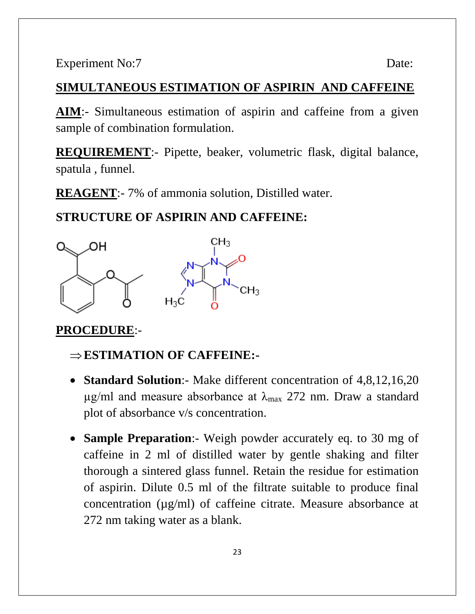Experiment No:7 Date:

# **SIMULTANEOUS ESTIMATION OF ASPIRIN AND CAFFEINE**

**AIM**:- Simultaneous estimation of aspirin and caffeine from a given sample of combination formulation.

**REQUIREMENT**:- Pipette, beaker, volumetric flask, digital balance, spatula , funnel.

**REAGENT**:- 7% of ammonia solution, Distilled water.

## **STRUCTURE OF ASPIRIN AND CAFFEINE:**



#### **PROCEDURE**:-

- **ESTIMATION OF CAFFEINE:-**
- **Standard Solution**:- Make different concentration of 4,8,12,16,20  $\mu$ g/ml and measure absorbance at  $\lambda_{\text{max}}$  272 nm. Draw a standard plot of absorbance v/s concentration.
- **Sample Preparation**:- Weigh powder accurately eq. to 30 mg of caffeine in 2 ml of distilled water by gentle shaking and filter thorough a sintered glass funnel. Retain the residue for estimation of aspirin. Dilute 0.5 ml of the filtrate suitable to produce final concentration (µg/ml) of caffeine citrate. Measure absorbance at 272 nm taking water as a blank.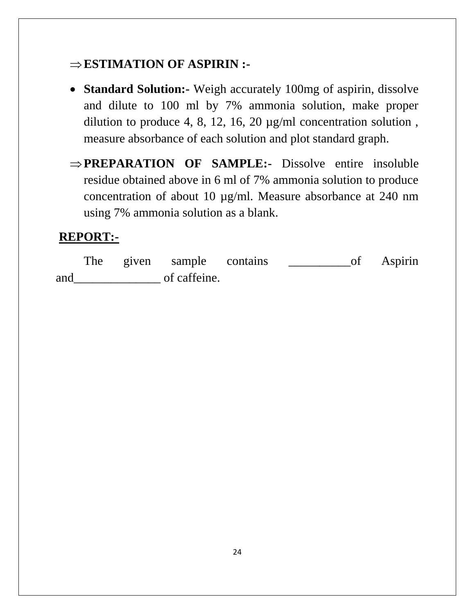# **ESTIMATION OF ASPIRIN :-**

- **Standard Solution:-** Weigh accurately 100mg of aspirin, dissolve and dilute to 100 ml by 7% ammonia solution, make proper dilution to produce 4, 8, 12, 16, 20 µg/ml concentration solution , measure absorbance of each solution and plot standard graph.
- **PREPARATION OF SAMPLE:-** Dissolve entire insoluble residue obtained above in 6 ml of 7% ammonia solution to produce concentration of about 10 µg/ml. Measure absorbance at 240 nm using 7% ammonia solution as a blank.

# **REPORT:-**

The given sample contains \_\_\_\_\_\_\_\_\_\_of Aspirin and\_\_\_\_\_\_\_\_\_\_\_\_\_\_ of caffeine.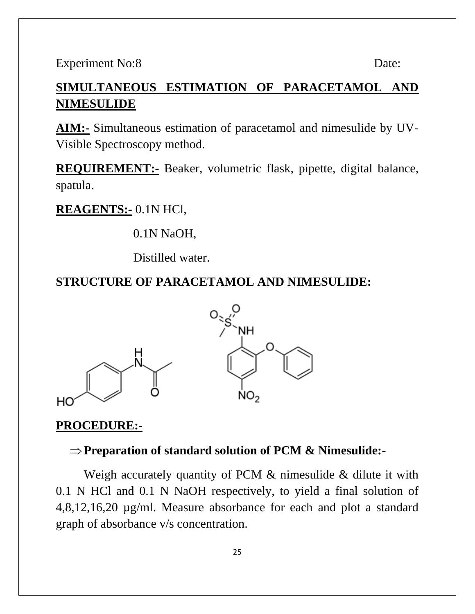Experiment No:8 Date:

# **SIMULTANEOUS ESTIMATION OF PARACETAMOL AND NIMESULIDE**

**AIM:-** Simultaneous estimation of paracetamol and nimesulide by UV-Visible Spectroscopy method.

**REQUIREMENT:-** Beaker, volumetric flask, pipette, digital balance, spatula.

#### **REAGENTS:-** 0.1N HCl,

0.1N NaOH,

Distilled water.

## **STRUCTURE OF PARACETAMOL AND NIMESULIDE:**



#### **PROCEDURE:-**

## **Preparation of standard solution of PCM & Nimesulide:-**

Weigh accurately quantity of PCM & nimesulide & dilute it with 0.1 N HCl and 0.1 N NaOH respectively, to yield a final solution of 4,8,12,16,20 µg/ml. Measure absorbance for each and plot a standard graph of absorbance v/s concentration.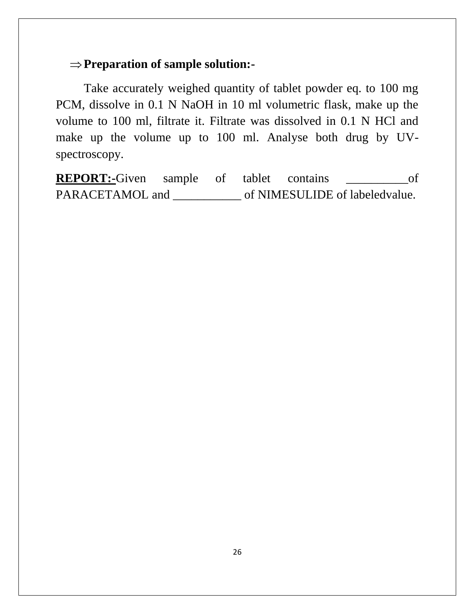#### **Preparation of sample solution:-**

Take accurately weighed quantity of tablet powder eq. to 100 mg PCM, dissolve in 0.1 N NaOH in 10 ml volumetric flask, make up the volume to 100 ml, filtrate it. Filtrate was dissolved in 0.1 N HCl and make up the volume up to 100 ml. Analyse both drug by UVspectroscopy.

**REPORT:-**Given sample of tablet contains \_\_\_\_\_\_\_\_\_\_\_\_of PARACETAMOL and \_\_\_\_\_\_\_\_\_\_\_\_ of NIMESULIDE of labeledvalue.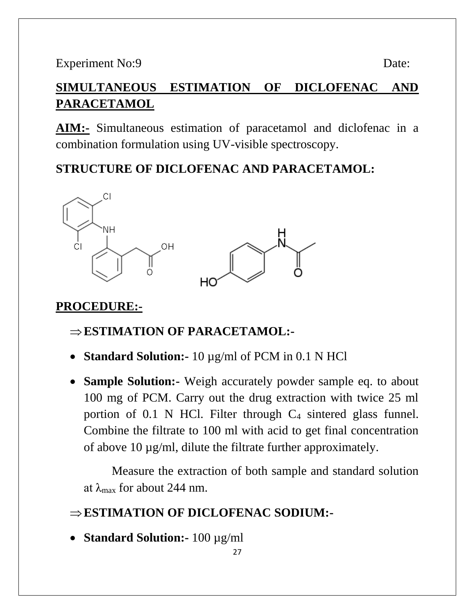# **SIMULTANEOUS ESTIMATION OF DICLOFENAC AND PARACETAMOL**

**AIM:-** Simultaneous estimation of paracetamol and diclofenac in a combination formulation using UV-visible spectroscopy.

# **STRUCTURE OF DICLOFENAC AND PARACETAMOL:**



# **PROCEDURE:-**

# **ESTIMATION OF PARACETAMOL:-**

- **Standard Solution:-** 10 µg/ml of PCM in 0.1 N HCl
- **Sample Solution:-** Weigh accurately powder sample eq. to about 100 mg of PCM. Carry out the drug extraction with twice 25 ml portion of 0.1 N HCl. Filter through  $C_4$  sintered glass funnel. Combine the filtrate to 100 ml with acid to get final concentration of above 10 µg/ml, dilute the filtrate further approximately.

Measure the extraction of both sample and standard solution at  $\lambda_{\text{max}}$  for about 244 nm.

# **ESTIMATION OF DICLOFENAC SODIUM:-**

• **Standard Solution:-** 100 µg/ml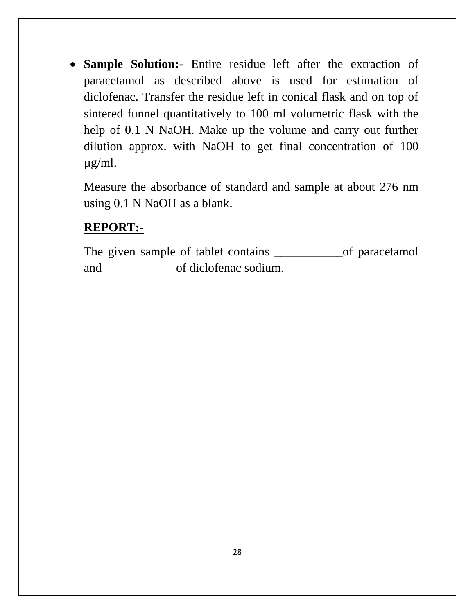• **Sample Solution:-** Entire residue left after the extraction of paracetamol as described above is used for estimation of diclofenac. Transfer the residue left in conical flask and on top of sintered funnel quantitatively to 100 ml volumetric flask with the help of 0.1 N NaOH. Make up the volume and carry out further dilution approx. with NaOH to get final concentration of 100 µg/ml.

Measure the absorbance of standard and sample at about 276 nm using 0.1 N NaOH as a blank.

# **REPORT:-**

The given sample of tablet contains \_\_\_\_\_\_\_\_\_\_\_\_\_\_\_of paracetamol and \_\_\_\_\_\_\_\_\_\_\_ of diclofenac sodium.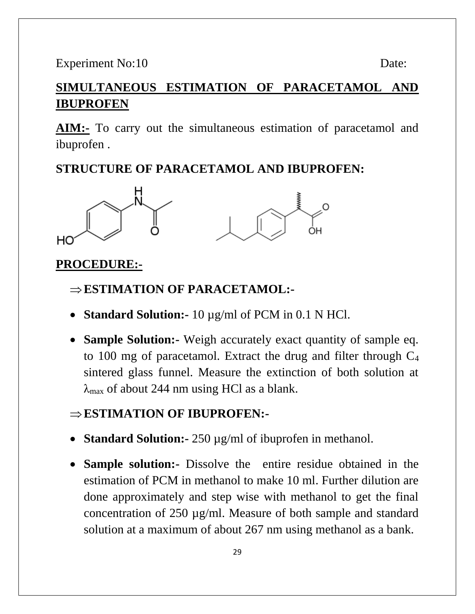# **SIMULTANEOUS ESTIMATION OF PARACETAMOL AND IBUPROFEN**

**AIM:-** To carry out the simultaneous estimation of paracetamol and ibuprofen .

# **STRUCTURE OF PARACETAMOL AND IBUPROFEN:**



#### **PROCEDURE:-**

#### **ESTIMATION OF PARACETAMOL:-**

- **Standard Solution:-** 10 µg/ml of PCM in 0.1 N HCl.
- **Sample Solution:-** Weigh accurately exact quantity of sample eq. to 100 mg of paracetamol. Extract the drug and filter through  $C_4$ sintered glass funnel. Measure the extinction of both solution at  $\lambda_{\text{max}}$  of about 244 nm using HCl as a blank.

# **ESTIMATION OF IBUPROFEN:-**

- **Standard Solution:** 250  $\mu$ g/ml of ibuprofen in methanol.
- **Sample solution:-** Dissolve the entire residue obtained in the estimation of PCM in methanol to make 10 ml. Further dilution are done approximately and step wise with methanol to get the final concentration of 250 µg/ml. Measure of both sample and standard solution at a maximum of about 267 nm using methanol as a bank.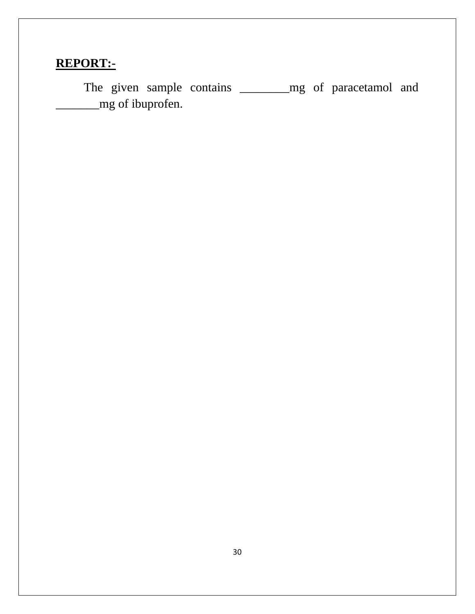# **REPORT:-**

The given sample contains \_\_\_\_\_\_\_\_\_mg of paracetamol and \_\_\_\_\_\_\_mg of ibuprofen.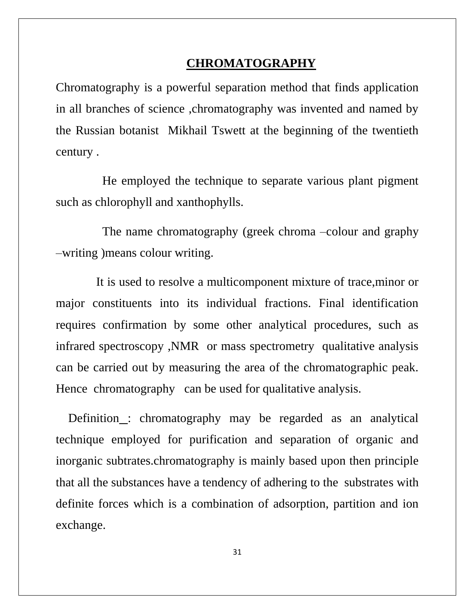#### **CHROMATOGRAPHY**

Chromatography is a powerful separation method that finds application in all branches of science ,chromatography was invented and named by the Russian botanist Mikhail Tswett at the beginning of the twentieth century .

 He employed the technique to separate various plant pigment such as chlorophyll and xanthophylls.

 The name chromatography (greek chroma –colour and graphy –writing )means colour writing.

 It is used to resolve a multicomponent mixture of trace,minor or major constituents into its individual fractions. Final identification requires confirmation by some other analytical procedures, such as infrared spectroscopy ,NMR or mass spectrometry qualitative analysis can be carried out by measuring the area of the chromatographic peak. Hence chromatography can be used for qualitative analysis.

 Definition : chromatography may be regarded as an analytical technique employed for purification and separation of organic and inorganic subtrates.chromatography is mainly based upon then principle that all the substances have a tendency of adhering to the substrates with definite forces which is a combination of adsorption, partition and ion exchange.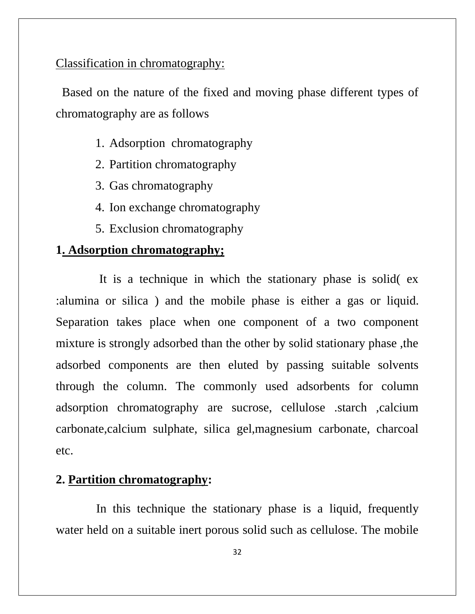# Classification in chromatography:

 Based on the nature of the fixed and moving phase different types of chromatography are as follows

- 1. Adsorption chromatography
- 2. Partition chromatography
- 3. Gas chromatography
- 4. Ion exchange chromatography
- 5. Exclusion chromatography

## **1. Adsorption chromatography;**

 It is a technique in which the stationary phase is solid( ex :alumina or silica ) and the mobile phase is either a gas or liquid. Separation takes place when one component of a two component mixture is strongly adsorbed than the other by solid stationary phase ,the adsorbed components are then eluted by passing suitable solvents through the column. The commonly used adsorbents for column adsorption chromatography are sucrose, cellulose .starch ,calcium carbonate,calcium sulphate, silica gel,magnesium carbonate, charcoal etc.

### **2. Partition chromatography:**

 In this technique the stationary phase is a liquid, frequently water held on a suitable inert porous solid such as cellulose. The mobile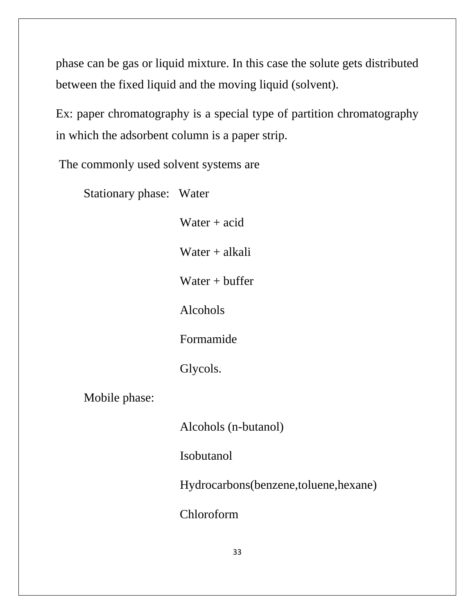phase can be gas or liquid mixture. In this case the solute gets distributed between the fixed liquid and the moving liquid (solvent).

Ex: paper chromatography is a special type of partition chromatography in which the adsorbent column is a paper strip.

The commonly used solvent systems are

Stationary phase: Water

Water  $+$  acid

Water + alkali

Water  $+$  buffer

Alcohols

Formamide

Glycols.

Mobile phase:

Alcohols (n-butanol)

Isobutanol

Hydrocarbons(benzene,toluene,hexane)

Chloroform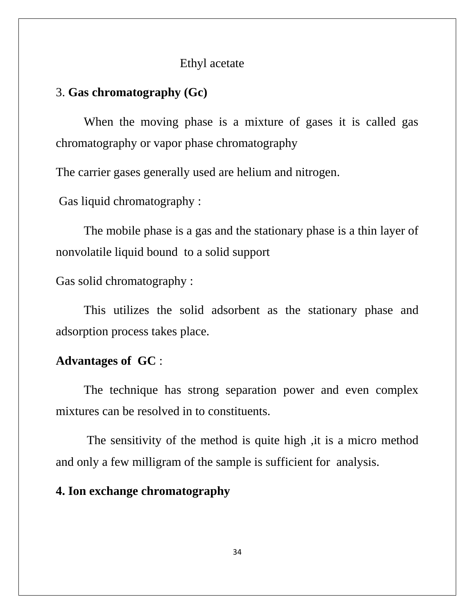#### Ethyl acetate

#### 3. **Gas chromatography (Gc)**

 When the moving phase is a mixture of gases it is called gas chromatography or vapor phase chromatography

The carrier gases generally used are helium and nitrogen.

Gas liquid chromatography :

The mobile phase is a gas and the stationary phase is a thin layer of nonvolatile liquid bound to a solid support

Gas solid chromatography :

This utilizes the solid adsorbent as the stationary phase and adsorption process takes place.

## **Advantages of GC** :

The technique has strong separation power and even complex mixtures can be resolved in to constituents.

 The sensitivity of the method is quite high ,it is a micro method and only a few milligram of the sample is sufficient for analysis.

### **4. Ion exchange chromatography**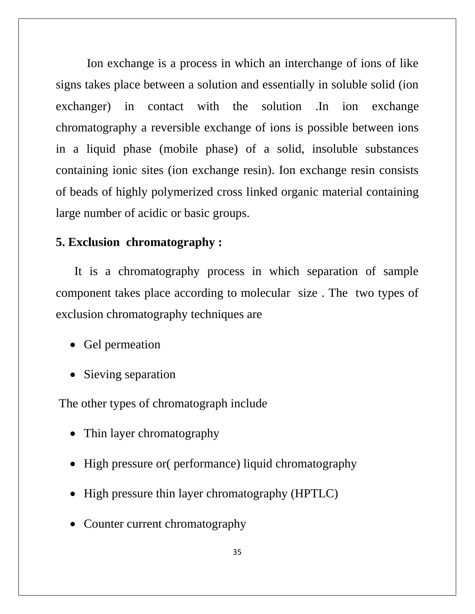Ion exchange is a process in which an interchange of ions of like signs takes place between a solution and essentially in soluble solid (ion exchanger) in contact with the solution .In ion exchange chromatography a reversible exchange of ions is possible between ions in a liquid phase (mobile phase) of a solid, insoluble substances containing ionic sites (ion exchange resin). Ion exchange resin consists of beads of highly polymerized cross linked organic material containing large number of acidic or basic groups.

#### **5. Exclusion chromatography :**

 It is a chromatography process in which separation of sample component takes place according to molecular size . The two types of exclusion chromatography techniques are

- Gel permeation
- Sieving separation

The other types of chromatograph include

- Thin layer chromatography
- High pressure or( performance) liquid chromatography
- High pressure thin layer chromatography (HPTLC)
- Counter current chromatography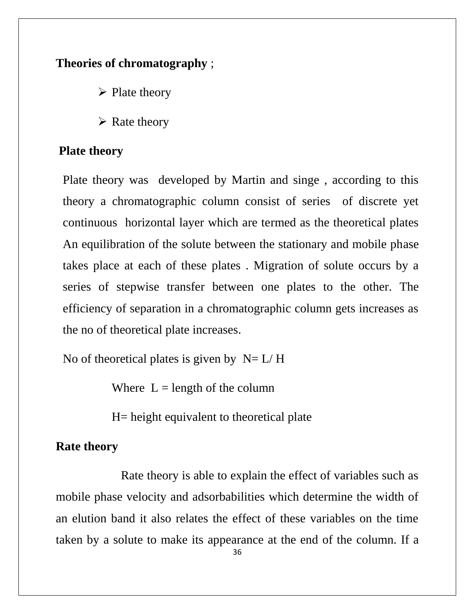# **Theories of chromatography** ;

➢ Plate theory

 $\triangleright$  Rate theory

# **Plate theory**

Plate theory was developed by Martin and singe , according to this theory a chromatographic column consist of series of discrete yet continuous horizontal layer which are termed as the theoretical plates An equilibration of the solute between the stationary and mobile phase takes place at each of these plates . Migration of solute occurs by a series of stepwise transfer between one plates to the other. The efficiency of separation in a chromatographic column gets increases as the no of theoretical plate increases.

No of theoretical plates is given by  $N=L/H$ 

Where  $L =$  length of the column

H= height equivalent to theoretical plate

# **Rate theory**

 Rate theory is able to explain the effect of variables such as mobile phase velocity and adsorbabilities which determine the width of an elution band it also relates the effect of these variables on the time taken by a solute to make its appearance at the end of the column. If a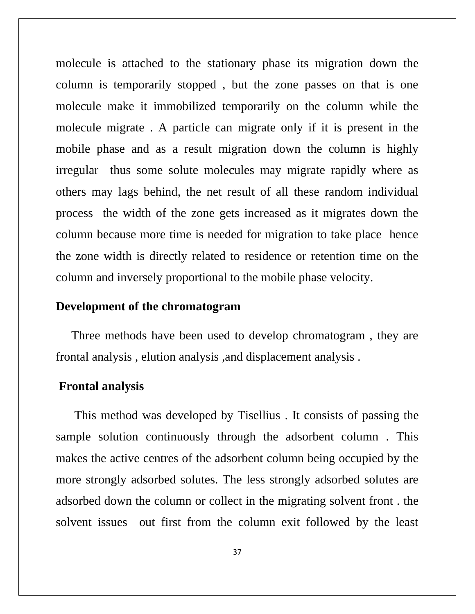molecule is attached to the stationary phase its migration down the column is temporarily stopped , but the zone passes on that is one molecule make it immobilized temporarily on the column while the molecule migrate . A particle can migrate only if it is present in the mobile phase and as a result migration down the column is highly irregular thus some solute molecules may migrate rapidly where as others may lags behind, the net result of all these random individual process the width of the zone gets increased as it migrates down the column because more time is needed for migration to take place hence the zone width is directly related to residence or retention time on the column and inversely proportional to the mobile phase velocity.

#### **Development of the chromatogram**

 Three methods have been used to develop chromatogram , they are frontal analysis , elution analysis ,and displacement analysis .

#### **Frontal analysis**

 This method was developed by Tisellius . It consists of passing the sample solution continuously through the adsorbent column . This makes the active centres of the adsorbent column being occupied by the more strongly adsorbed solutes. The less strongly adsorbed solutes are adsorbed down the column or collect in the migrating solvent front . the solvent issues out first from the column exit followed by the least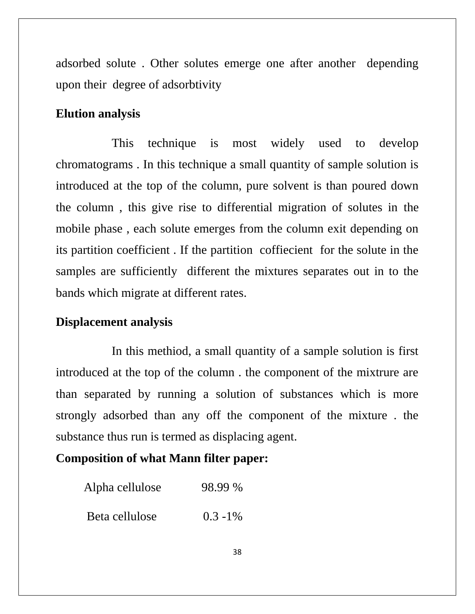adsorbed solute . Other solutes emerge one after another depending upon their degree of adsorbtivity

#### **Elution analysis**

 This technique is most widely used to develop chromatograms . In this technique a small quantity of sample solution is introduced at the top of the column, pure solvent is than poured down the column , this give rise to differential migration of solutes in the mobile phase , each solute emerges from the column exit depending on its partition coefficient . If the partition coffiecient for the solute in the samples are sufficiently different the mixtures separates out in to the bands which migrate at different rates.

#### **Displacement analysis**

 In this methiod, a small quantity of a sample solution is first introduced at the top of the column . the component of the mixtrure are than separated by running a solution of substances which is more strongly adsorbed than any off the component of the mixture . the substance thus run is termed as displacing agent.

# **Composition of what Mann filter paper:**

| Alpha cellulose | 98.99 %     |
|-----------------|-------------|
| Beta cellulose  | $0.3 - 1\%$ |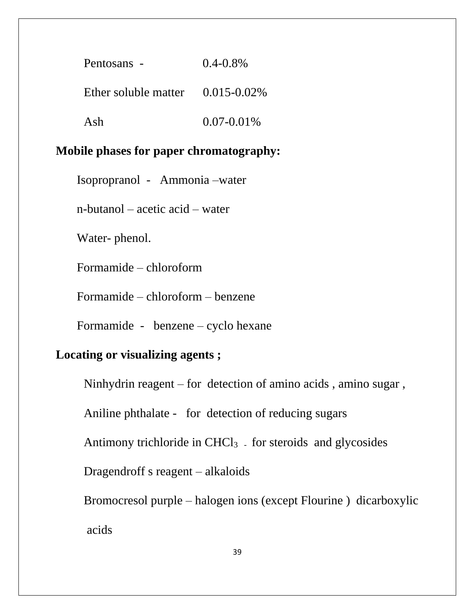| Pentosans -                           | $0.4 - 0.8\%$   |
|---------------------------------------|-----------------|
| Ether soluble matter $0.015 - 0.02\%$ |                 |
| Ash                                   | $0.07 - 0.01\%$ |

# **Mobile phases for paper chromatography:**

Isopropranol - Ammonia –water

n-butanol – acetic acid – water

Water- phenol.

Formamide – chloroform

Formamide – chloroform – benzene

Formamide - benzene – cyclo hexane

#### **Locating or visualizing agents ;**

Ninhydrin reagent – for detection of amino acids , amino sugar ,

Aniline phthalate - for detection of reducing sugars

Antimony trichloride in  $CHCl<sub>3</sub>$ . for steroids and glycosides

Dragendroff s reagent – alkaloids

Bromocresol purple – halogen ions (except Flourine ) dicarboxylic acids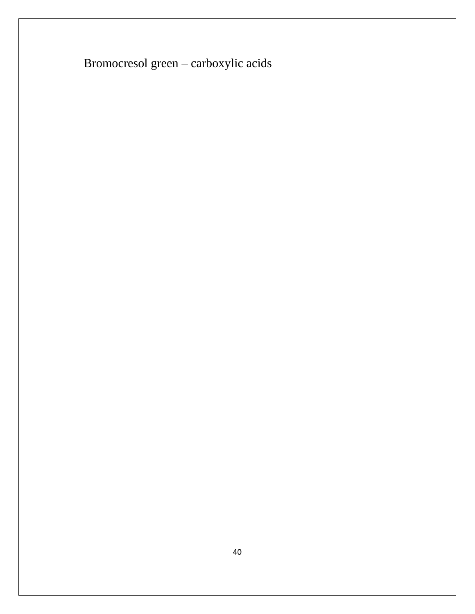Bromocresol green – carboxylic acids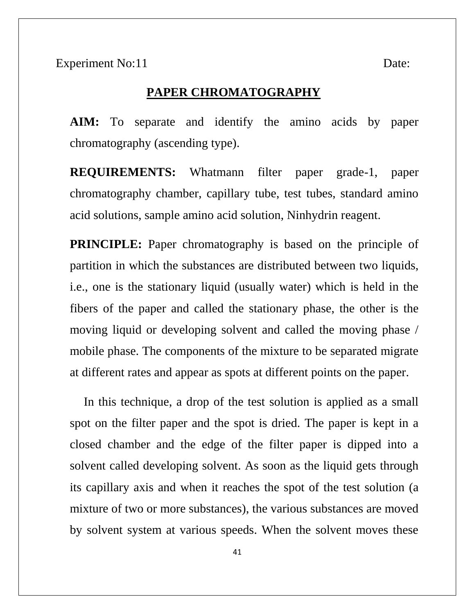#### **PAPER CHROMATOGRAPHY**

**AIM:** To separate and identify the amino acids by paper chromatography (ascending type).

**REQUIREMENTS:** Whatmann filter paper grade-1, paper chromatography chamber, capillary tube, test tubes, standard amino acid solutions, sample amino acid solution, Ninhydrin reagent.

**PRINCIPLE:** Paper chromatography is based on the principle of partition in which the substances are distributed between two liquids, i.e., one is the stationary liquid (usually water) which is held in the fibers of the paper and called the stationary phase, the other is the moving liquid or developing solvent and called the moving phase / mobile phase. The components of the mixture to be separated migrate at different rates and appear as spots at different points on the paper.

In this technique, a drop of the test solution is applied as a small spot on the filter paper and the spot is dried. The paper is kept in a closed chamber and the edge of the filter paper is dipped into a solvent called developing solvent. As soon as the liquid gets through its capillary axis and when it reaches the spot of the test solution (a mixture of two or more substances), the various substances are moved by solvent system at various speeds. When the solvent moves these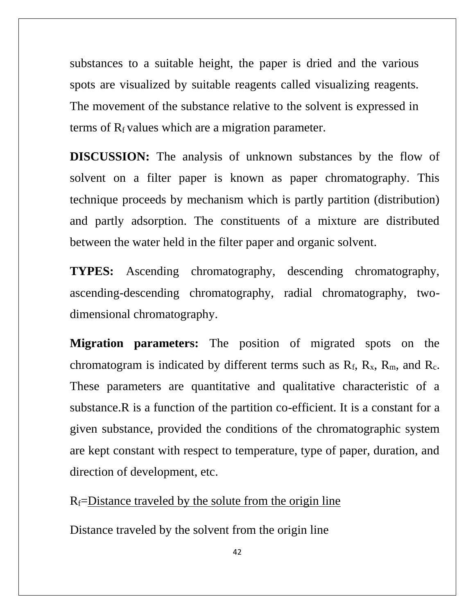substances to a suitable height, the paper is dried and the various spots are visualized by suitable reagents called visualizing reagents. The movement of the substance relative to the solvent is expressed in terms of  $R_f$  values which are a migration parameter.

**DISCUSSION:** The analysis of unknown substances by the flow of solvent on a filter paper is known as paper chromatography. This technique proceeds by mechanism which is partly partition (distribution) and partly adsorption. The constituents of a mixture are distributed between the water held in the filter paper and organic solvent.

**TYPES:** Ascending chromatography, descending chromatography, ascending-descending chromatography, radial chromatography, twodimensional chromatography.

**Migration parameters:** The position of migrated spots on the chromatogram is indicated by different terms such as  $R_f$ ,  $R_x$ ,  $R_m$ , and  $R_c$ . These parameters are quantitative and qualitative characteristic of a substance.R is a function of the partition co-efficient. It is a constant for a given substance, provided the conditions of the chromatographic system are kept constant with respect to temperature, type of paper, duration, and direction of development, etc.

 $R_f$ =Distance traveled by the solute from the origin line

Distance traveled by the solvent from the origin line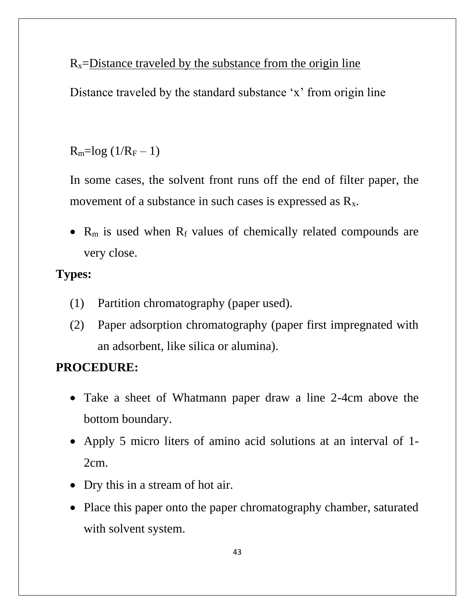$R_x$ =Distance traveled by the substance from the origin line

Distance traveled by the standard substance 'x' from origin line

 $R_m = log(1/R_F - 1)$ 

In some cases, the solvent front runs off the end of filter paper, the movement of a substance in such cases is expressed as  $R_x$ .

•  $R_m$  is used when  $R_f$  values of chemically related compounds are very close.

# **Types:**

- (1) Partition chromatography (paper used).
- (2) Paper adsorption chromatography (paper first impregnated with an adsorbent, like silica or alumina).

# **PROCEDURE:**

- Take a sheet of Whatmann paper draw a line 2-4cm above the bottom boundary.
- Apply 5 micro liters of amino acid solutions at an interval of 1- 2cm.
- Dry this in a stream of hot air.
- Place this paper onto the paper chromatography chamber, saturated with solvent system.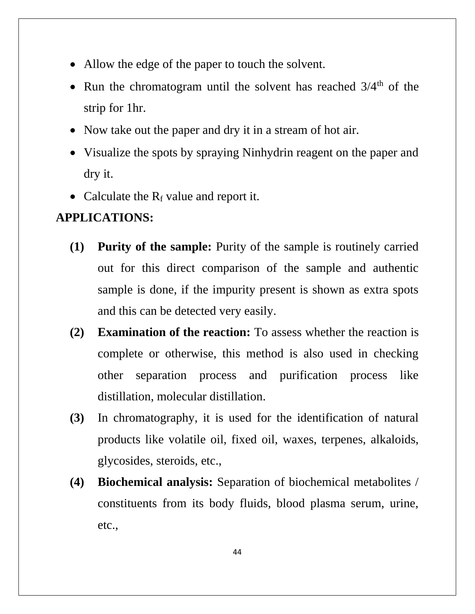- Allow the edge of the paper to touch the solvent.
- Run the chromatogram until the solvent has reached  $3/4<sup>th</sup>$  of the strip for 1hr.
- Now take out the paper and dry it in a stream of hot air.
- Visualize the spots by spraying Ninhydrin reagent on the paper and dry it.
- Calculate the  $R_f$  value and report it.

#### **APPLICATIONS:**

- **(1) Purity of the sample:** Purity of the sample is routinely carried out for this direct comparison of the sample and authentic sample is done, if the impurity present is shown as extra spots and this can be detected very easily.
- **(2) Examination of the reaction:** To assess whether the reaction is complete or otherwise, this method is also used in checking other separation process and purification process like distillation, molecular distillation.
- **(3)** In chromatography, it is used for the identification of natural products like volatile oil, fixed oil, waxes, terpenes, alkaloids, glycosides, steroids, etc.,
- **(4) Biochemical analysis:** Separation of biochemical metabolites / constituents from its body fluids, blood plasma serum, urine, etc.,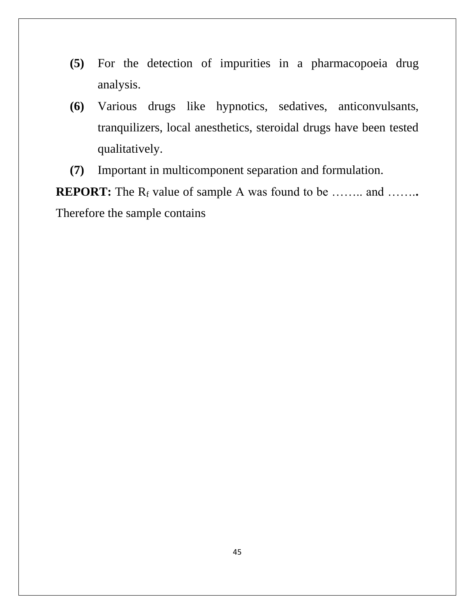- **(5)** For the detection of impurities in a pharmacopoeia drug analysis.
- **(6)** Various drugs like hypnotics, sedatives, anticonvulsants, tranquilizers, local anesthetics, steroidal drugs have been tested qualitatively.
- **(7)** Important in multicomponent separation and formulation.

**REPORT:** The R<sub>f</sub> value of sample A was found to be …….. and …….. Therefore the sample contains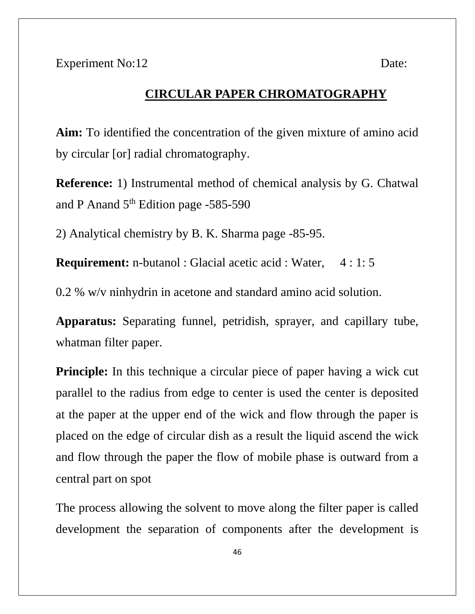#### **CIRCULAR PAPER CHROMATOGRAPHY**

**Aim:** To identified the concentration of the given mixture of amino acid by circular [or] radial chromatography.

**Reference:** 1) Instrumental method of chemical analysis by G. Chatwal and P Anand 5<sup>th</sup> Edition page -585-590

2) Analytical chemistry by B. K. Sharma page -85-95.

**Requirement:** n-butanol : Glacial acetic acid : Water, 4 : 1: 5

0.2 % w/v ninhydrin in acetone and standard amino acid solution.

**Apparatus:** Separating funnel, petridish, sprayer, and capillary tube, whatman filter paper.

**Principle:** In this technique a circular piece of paper having a wick cut parallel to the radius from edge to center is used the center is deposited at the paper at the upper end of the wick and flow through the paper is placed on the edge of circular dish as a result the liquid ascend the wick and flow through the paper the flow of mobile phase is outward from a central part on spot

The process allowing the solvent to move along the filter paper is called development the separation of components after the development is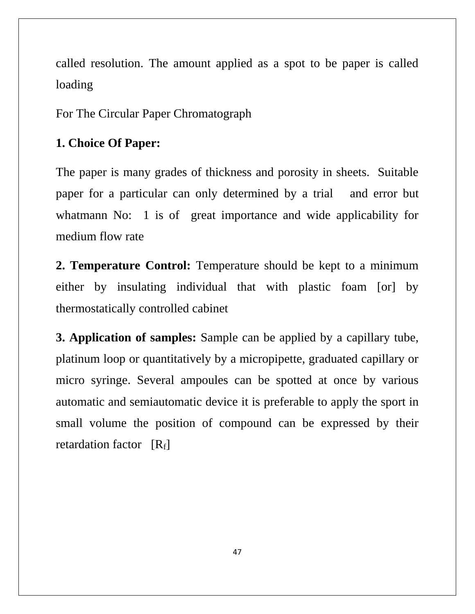called resolution. The amount applied as a spot to be paper is called loading

For The Circular Paper Chromatograph

#### **1. Choice Of Paper:**

The paper is many grades of thickness and porosity in sheets. Suitable paper for a particular can only determined by a trial and error but whatmann No: 1 is of great importance and wide applicability for medium flow rate

**2. Temperature Control:** Temperature should be kept to a minimum either by insulating individual that with plastic foam [or] by thermostatically controlled cabinet

**3. Application of samples:** Sample can be applied by a capillary tube, platinum loop or quantitatively by a micropipette, graduated capillary or micro syringe. Several ampoules can be spotted at once by various automatic and semiautomatic device it is preferable to apply the sport in small volume the position of compound can be expressed by their retardation factor [R<sub>f</sub>]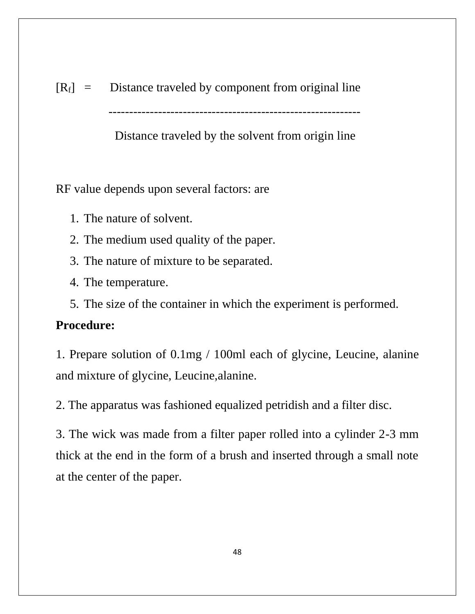$[R_f]$  = Distance traveled by component from original line

-------------------------------------------------------------

Distance traveled by the solvent from origin line

RF value depends upon several factors: are

- 1. The nature of solvent.
- 2. The medium used quality of the paper.
- 3. The nature of mixture to be separated.
- 4. The temperature.
- 5. The size of the container in which the experiment is performed.

# **Procedure:**

1. Prepare solution of 0.1mg / 100ml each of glycine, Leucine, alanine and mixture of glycine, Leucine,alanine.

2. The apparatus was fashioned equalized petridish and a filter disc.

3. The wick was made from a filter paper rolled into a cylinder 2-3 mm thick at the end in the form of a brush and inserted through a small note at the center of the paper.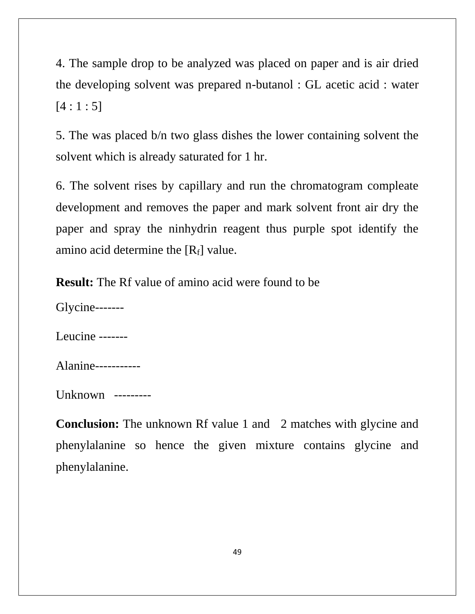4. The sample drop to be analyzed was placed on paper and is air dried the developing solvent was prepared n-butanol : GL acetic acid : water  $[4:1:5]$ 

5. The was placed b/n two glass dishes the lower containing solvent the solvent which is already saturated for 1 hr.

6. The solvent rises by capillary and run the chromatogram compleate development and removes the paper and mark solvent front air dry the paper and spray the ninhydrin reagent thus purple spot identify the amino acid determine the  $[R_f]$  value.

**Result:** The Rf value of amino acid were found to be

Glycine-------

Leucine -------

Alanine-----------

Unknown ---------

**Conclusion:** The unknown Rf value 1 and 2 matches with glycine and phenylalanine so hence the given mixture contains glycine and phenylalanine.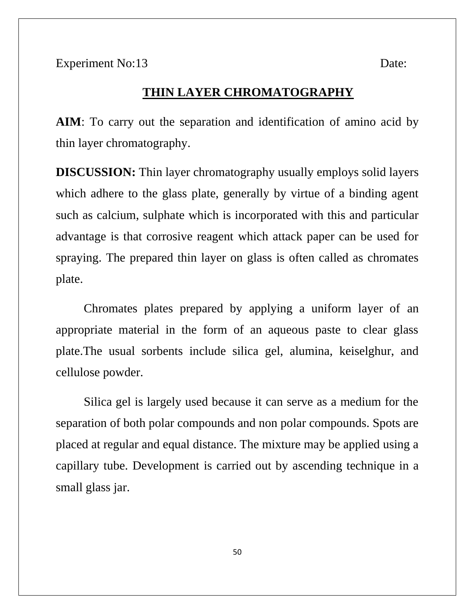#### **THIN LAYER CHROMATOGRAPHY**

**AIM**: To carry out the separation and identification of amino acid by thin layer chromatography.

**DISCUSSION:** Thin layer chromatography usually employs solid layers which adhere to the glass plate, generally by virtue of a binding agent such as calcium, sulphate which is incorporated with this and particular advantage is that corrosive reagent which attack paper can be used for spraying. The prepared thin layer on glass is often called as chromates plate.

Chromates plates prepared by applying a uniform layer of an appropriate material in the form of an aqueous paste to clear glass plate.The usual sorbents include silica gel, alumina, keiselghur, and cellulose powder.

Silica gel is largely used because it can serve as a medium for the separation of both polar compounds and non polar compounds. Spots are placed at regular and equal distance. The mixture may be applied using a capillary tube. Development is carried out by ascending technique in a small glass jar.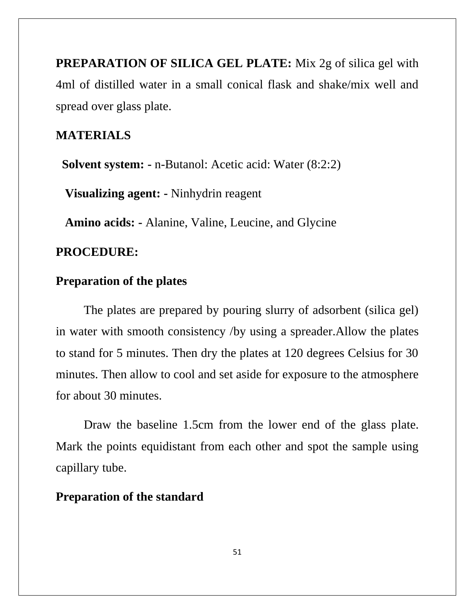**PREPARATION OF SILICA GEL PLATE:** Mix 2g of silica gel with 4ml of distilled water in a small conical flask and shake/mix well and spread over glass plate.

# **MATERIALS**

**Solvent system: -** n-Butanol: Acetic acid: Water (8:2:2)

 **Visualizing agent: -** Ninhydrin reagent

 **Amino acids: -** Alanine, Valine, Leucine, and Glycine

#### **PROCEDURE:**

#### **Preparation of the plates**

The plates are prepared by pouring slurry of adsorbent (silica gel) in water with smooth consistency /by using a spreader.Allow the plates to stand for 5 minutes. Then dry the plates at 120 degrees Celsius for 30 minutes. Then allow to cool and set aside for exposure to the atmosphere for about 30 minutes.

Draw the baseline 1.5cm from the lower end of the glass plate. Mark the points equidistant from each other and spot the sample using capillary tube.

#### **Preparation of the standard**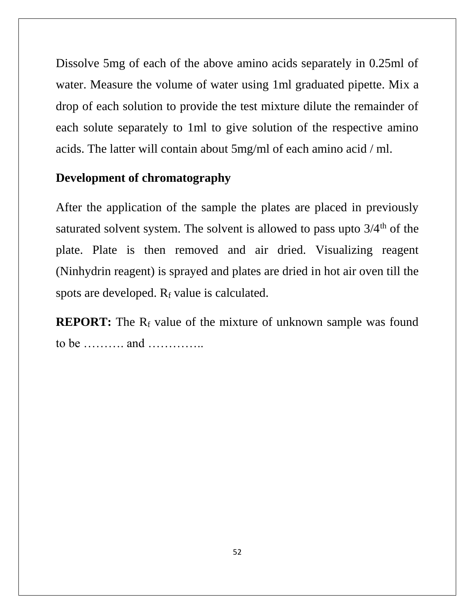Dissolve 5mg of each of the above amino acids separately in 0.25ml of water. Measure the volume of water using 1ml graduated pipette. Mix a drop of each solution to provide the test mixture dilute the remainder of each solute separately to 1ml to give solution of the respective amino acids. The latter will contain about 5mg/ml of each amino acid / ml.

# **Development of chromatography**

After the application of the sample the plates are placed in previously saturated solvent system. The solvent is allowed to pass upto  $3/4<sup>th</sup>$  of the plate. Plate is then removed and air dried. Visualizing reagent (Ninhydrin reagent) is sprayed and plates are dried in hot air oven till the spots are developed.  $R_f$  value is calculated.

**REPORT:** The R<sub>f</sub> value of the mixture of unknown sample was found to be ………. and …………..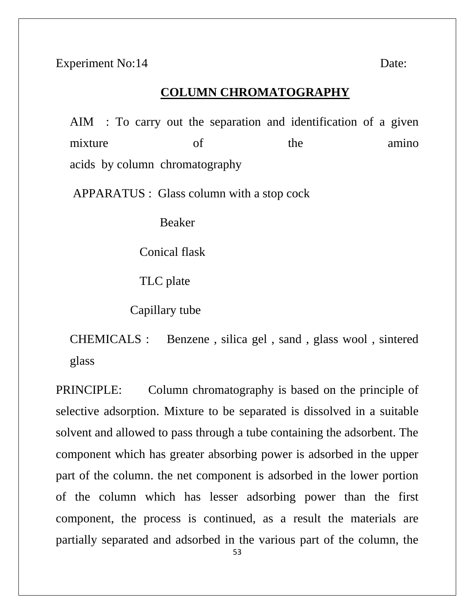Experiment No:14 Date:

#### **COLUMN CHROMATOGRAPHY**

AIM : To carry out the separation and identification of a given mixture of the amino acids by column chromatography

APPARATUS : Glass column with a stop cock

Beaker

Conical flask

TLC plate

Capillary tube

CHEMICALS : Benzene , silica gel , sand , glass wool , sintered glass

PRINCIPLE: Column chromatography is based on the principle of selective adsorption. Mixture to be separated is dissolved in a suitable solvent and allowed to pass through a tube containing the adsorbent. The component which has greater absorbing power is adsorbed in the upper part of the column. the net component is adsorbed in the lower portion of the column which has lesser adsorbing power than the first component, the process is continued, as a result the materials are partially separated and adsorbed in the various part of the column, the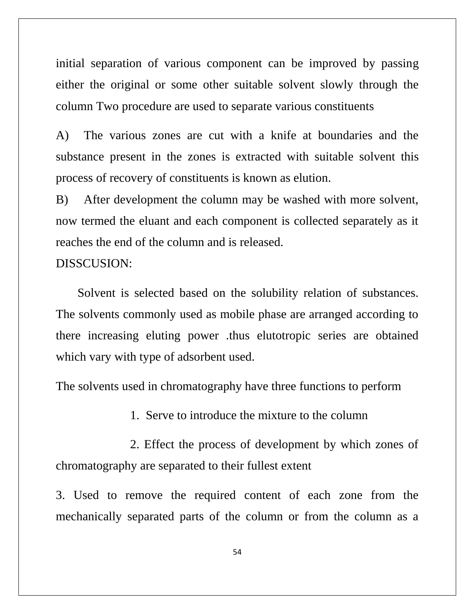initial separation of various component can be improved by passing either the original or some other suitable solvent slowly through the column Two procedure are used to separate various constituents

A) The various zones are cut with a knife at boundaries and the substance present in the zones is extracted with suitable solvent this process of recovery of constituents is known as elution.

B) After development the column may be washed with more solvent, now termed the eluant and each component is collected separately as it reaches the end of the column and is released.

#### DISSCUSION:

 Solvent is selected based on the solubility relation of substances. The solvents commonly used as mobile phase are arranged according to there increasing eluting power .thus elutotropic series are obtained which vary with type of adsorbent used.

The solvents used in chromatography have three functions to perform

1. Serve to introduce the mixture to the column

 2. Effect the process of development by which zones of chromatography are separated to their fullest extent

3. Used to remove the required content of each zone from the mechanically separated parts of the column or from the column as a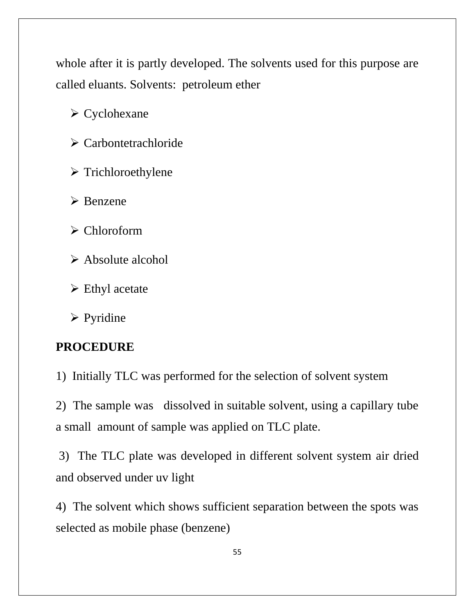whole after it is partly developed. The solvents used for this purpose are called eluants. Solvents: petroleum ether

➢ Cyclohexane

➢ Carbontetrachloride

➢ Trichloroethylene

➢ Benzene

➢ Chloroform

➢ Absolute alcohol

 $\triangleright$  Ethyl acetate

➢ Pyridine

# **PROCEDURE**

1) Initially TLC was performed for the selection of solvent system

2) The sample was dissolved in suitable solvent, using a capillary tube a small amount of sample was applied on TLC plate.

3) The TLC plate was developed in different solvent system air dried and observed under uv light

4) The solvent which shows sufficient separation between the spots was selected as mobile phase (benzene)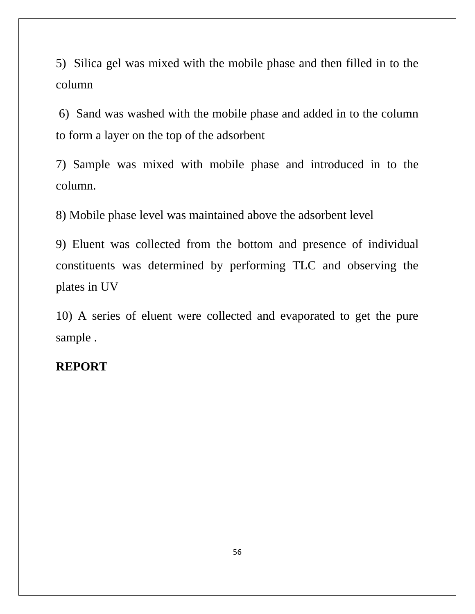5) Silica gel was mixed with the mobile phase and then filled in to the column

6) Sand was washed with the mobile phase and added in to the column to form a layer on the top of the adsorbent

7) Sample was mixed with mobile phase and introduced in to the column.

8) Mobile phase level was maintained above the adsorbent level

9) Eluent was collected from the bottom and presence of individual constituents was determined by performing TLC and observing the plates in UV

10) A series of eluent were collected and evaporated to get the pure sample .

#### **REPORT**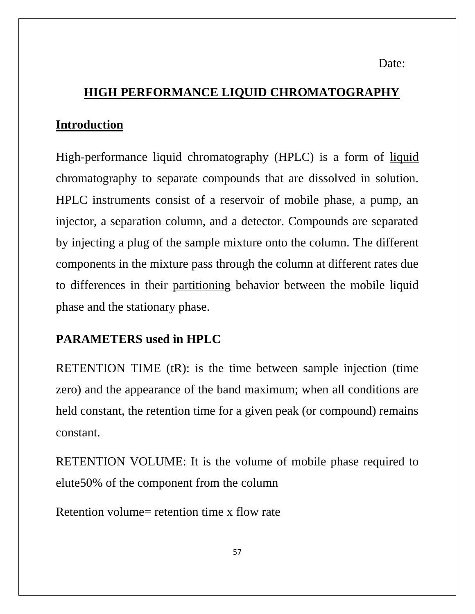Date:

# **HIGH PERFORMANCE LIQUID CHROMATOGRAPHY**

# **Introduction**

High-performance liquid chromatography (HPLC) is a form of [liquid](http://elchem.kaist.ac.kr/vt/chem-ed/sep/lc/lc.htm)  [chromatography](http://elchem.kaist.ac.kr/vt/chem-ed/sep/lc/lc.htm) to separate compounds that are dissolved in solution. HPLC instruments consist of a reservoir of mobile phase, a pump, an injector, a separation column, and a detector. Compounds are separated by injecting a plug of the sample mixture onto the column. The different components in the mixture pass through the column at different rates due to differences in their [partitioning](http://elchem.kaist.ac.kr/vt/chem-ed/sep/extract/partitn.htm) behavior between the mobile liquid phase and the stationary phase.

# **PARAMETERS used in HPLC**

RETENTION TIME (tR): is the time between sample injection (time zero) and the appearance of the band maximum; when all conditions are held constant, the retention time for a given peak (or compound) remains constant.

RETENTION VOLUME: It is the volume of mobile phase required to elute50% of the component from the column

Retention volume= retention time x flow rate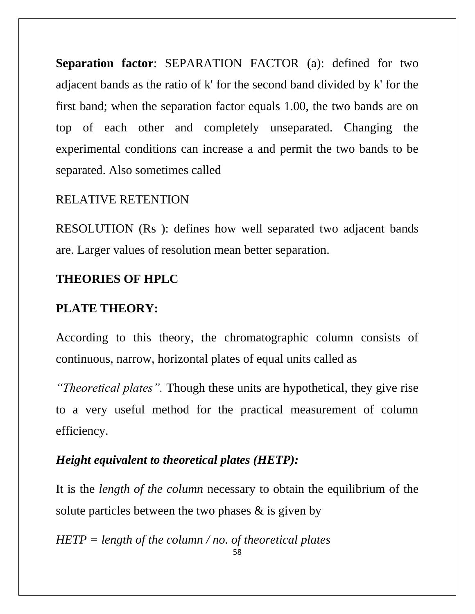**Separation factor**: SEPARATION FACTOR (a): defined for two adjacent bands as the ratio of k' for the second band divided by k' for the first band; when the separation factor equals 1.00, the two bands are on top of each other and completely unseparated. Changing the experimental conditions can increase a and permit the two bands to be separated. Also sometimes called

#### RELATIVE RETENTION

RESOLUTION (Rs ): defines how well separated two adjacent bands are. Larger values of resolution mean better separation.

#### **THEORIES OF HPLC**

#### **PLATE THEORY:**

According to this theory, the chromatographic column consists of continuous, narrow, horizontal plates of equal units called as

*"Theoretical plates".* Though these units are hypothetical, they give rise to a very useful method for the practical measurement of column efficiency.

#### *Height equivalent to theoretical plates (HETP):*

It is the *length of the column* necessary to obtain the equilibrium of the solute particles between the two phases  $\&$  is given by

58 *HETP = length of the column / no. of theoretical plates*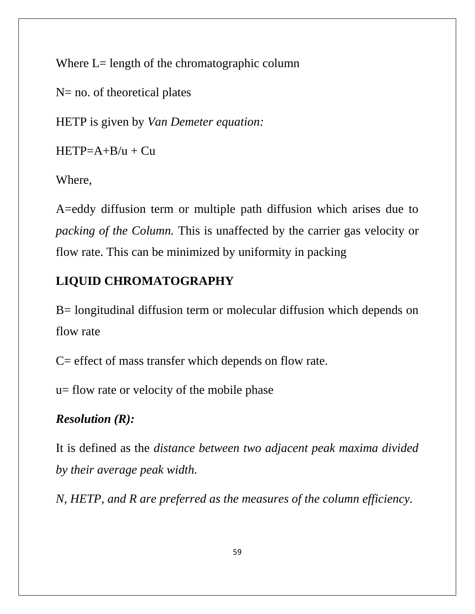Where L= length of the chromatographic column

N= no. of theoretical plates

HETP is given by *Van Demeter equation:*

 $HETP=A+B/u + Cu$ 

Where,

A=eddy diffusion term or multiple path diffusion which arises due to *packing of the Column.* This is unaffected by the carrier gas velocity or flow rate. This can be minimized by uniformity in packing

# **LIQUID CHROMATOGRAPHY**

B= longitudinal diffusion term or molecular diffusion which depends on flow rate

C= effect of mass transfer which depends on flow rate.

u= flow rate or velocity of the mobile phase

# *Resolution (R):*

It is defined as the *distance between two adjacent peak maxima divided by their average peak width.*

*N, HETP, and R are preferred as the measures of the column efficiency.*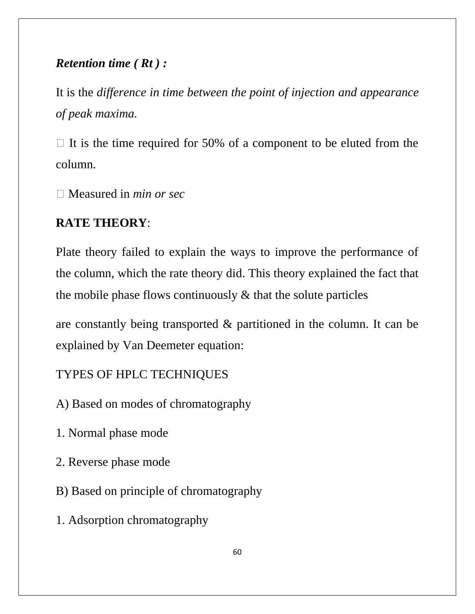# *Retention time ( Rt ) :*

It is the *difference in time between the point of injection and appearance of peak maxima.*

 $\Box$  It is the time required for 50% of a component to be eluted from the column.

Measured in *min or sec*

# **RATE THEORY**:

Plate theory failed to explain the ways to improve the performance of the column, which the rate theory did. This theory explained the fact that the mobile phase flows continuously  $\&$  that the solute particles

are constantly being transported & partitioned in the column. It can be explained by Van Deemeter equation:

# TYPES OF HPLC TECHNIQUES

- A) Based on modes of chromatography
- 1. Normal phase mode
- 2. Reverse phase mode
- B) Based on principle of chromatography
- 1. Adsorption chromatography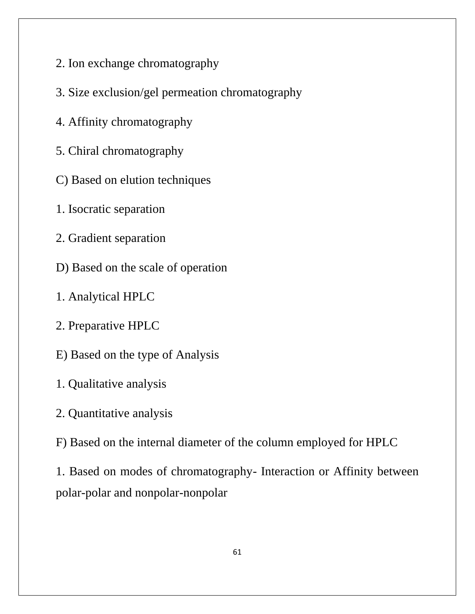- 2. Ion exchange chromatography
- 3. Size exclusion/gel permeation chromatography
- 4. Affinity chromatography
- 5. Chiral chromatography
- C) Based on elution techniques
- 1. Isocratic separation
- 2. Gradient separation
- D) Based on the scale of operation
- 1. Analytical HPLC
- 2. Preparative HPLC
- E) Based on the type of Analysis
- 1. Qualitative analysis
- 2. Quantitative analysis
- F) Based on the internal diameter of the column employed for HPLC

1. Based on modes of chromatography- Interaction or Affinity between polar-polar and nonpolar-nonpolar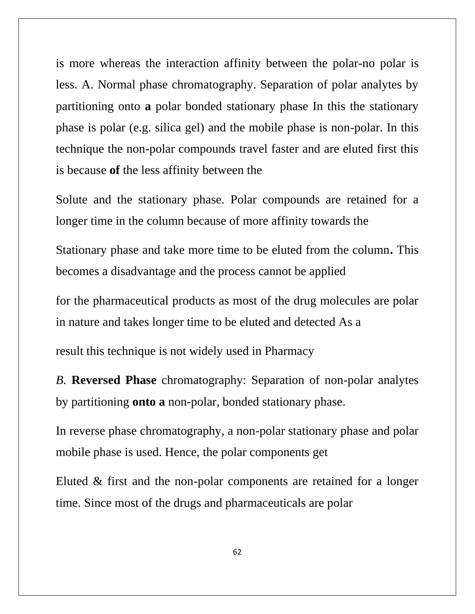is more whereas the interaction affinity between the polar-no polar is less. A. Normal phase chromatography. Separation of polar analytes by partitioning onto **a** polar bonded stationary phase In this the stationary phase is polar (e.g. silica gel) and the mobile phase is non-polar. In this technique the non-polar compounds travel faster and are eluted first this is because **of** the less affinity between the

Solute and the stationary phase. Polar compounds are retained for a longer time in the column because of more affinity towards the

Stationary phase and take more time to be eluted from the column**.** This becomes a disadvantage and the process cannot be applied

for the pharmaceutical products as most of the drug molecules are polar in nature and takes longer time to be eluted and detected As a

result this technique is not widely used in Pharmacy

*B.* **Reversed Phase** chromatography: Separation of non-polar analytes by partitioning **onto a** non-polar, bonded stationary phase.

In reverse phase chromatography, a non-polar stationary phase and polar mobile phase is used. Hence, the polar components get

Eluted & first and the non-polar components are retained for a longer time. Since most of the drugs and pharmaceuticals are polar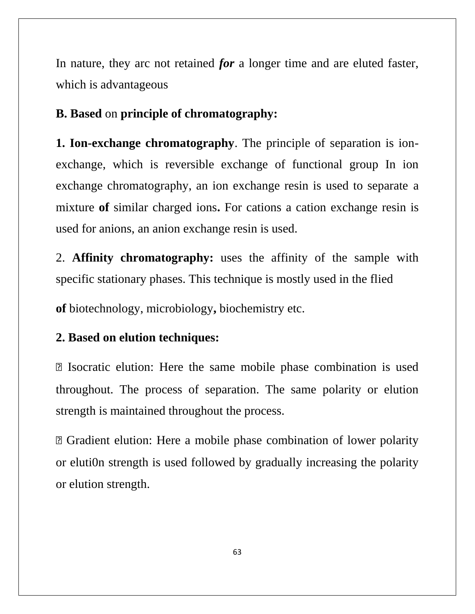In nature, they arc not retained *for* a longer time and are eluted faster, which is advantageous

**B. Based** on **principle of chromatography:**

**1. Ion-exchange chromatography**. The principle of separation is ionexchange, which is reversible exchange of functional group In ion exchange chromatography, an ion exchange resin is used to separate a mixture of similar charged ions. For cations a cation exchange resin is used for anions, an anion exchange resin is used.

2. **Affinity chromatography:** uses the affinity of the sample with specific stationary phases. This technique is mostly used in the flied

**of** biotechnology, microbiology**,** biochemistry etc.

#### **2. Based on elution techniques:**

 Isocratic elution: Here the same mobile phase combination is used throughout. The process of separation. The same polarity or elution strength is maintained throughout the process.

 Gradient elution: Here a mobile phase combination of lower polarity or eluti0n strength is used followed by gradually increasing the polarity or elution strength.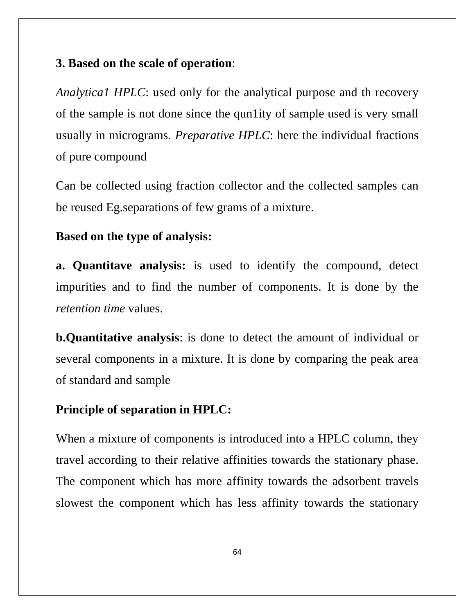# **3. Based on the scale of operation**:

*Analytica1 HPLC*: used only for the analytical purpose and th recovery of the sample is not done since the qun1ity of sample used is very small usually in micrograms. *Preparative HPLC*: here the individual fractions of pure compound

Can be collected using fraction collector and the collected samples can be reused Eg.separations of few grams of a mixture.

# **Based on the type of analysis:**

**a. Quantitave analysis:** is used to identify the compound, detect impurities and to find the number of components. It is done by the *retention time* values.

**b.Quantitative analysis**: is done to detect the amount of individual or several components in a mixture. It is done by comparing the peak area of standard and sample

# **Principle of separation in HPLC:**

When a mixture of components is introduced into a HPLC column, they travel according to their relative affinities towards the stationary phase. The component which has more affinity towards the adsorbent travels slowest the component which has less affinity towards the stationary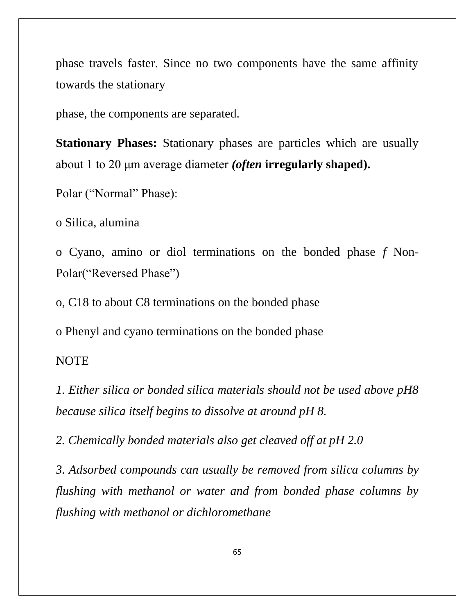phase travels faster. Since no two components have the same affinity towards the stationary

phase, the components are separated.

**Stationary Phases:** Stationary phases are particles which are usually about 1 to 20 μm average diameter *(often* **irregularly shaped).**

```
Polar ("Normal" Phase):
```
o Silica, alumina

o Cyano, amino or diol terminations on the bonded phase *f* Non-Polar("Reversed Phase")

o, C18 to about C8 terminations on the bonded phase

o Phenyl and cyano terminations on the bonded phase

#### NOTE

*1. Either silica or bonded silica materials should not be used above pH8 because silica itself begins to dissolve at around pH 8.*

*2. Chemically bonded materials also get cleaved off at pH 2.0*

*3. Adsorbed compounds can usually be removed from silica columns by flushing with methanol or water and from bonded phase columns by flushing with methanol or dichloromethane*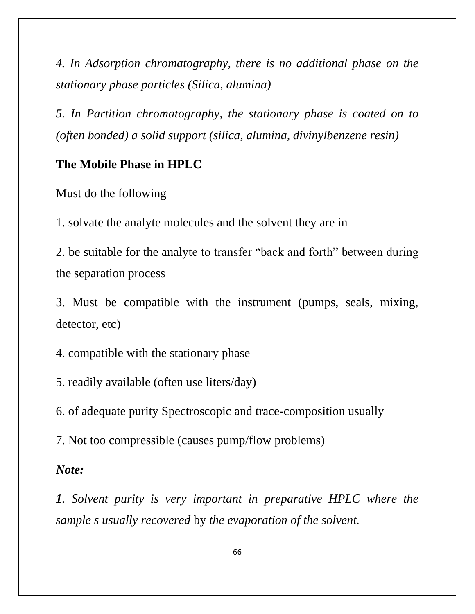*4. In Adsorption chromatography, there is no additional phase on the stationary phase particles (Silica, alumina)*

*5. In Partition chromatography, the stationary phase is coated on to (often bonded) a solid support (silica, alumina, divinylbenzene resin)*

#### **The Mobile Phase in HPLC**

Must do the following

1. solvate the analyte molecules and the solvent they are in

2. be suitable for the analyte to transfer "back and forth" between during the separation process

3. Must be compatible with the instrument (pumps, seals, mixing, detector, etc)

4. compatible with the stationary phase

5. readily available (often use liters/day)

6. of adequate purity Spectroscopic and trace-composition usually

7. Not too compressible (causes pump/flow problems)

#### *Note:*

*1. Solvent purity is very important in preparative HPLC where the sample s usually recovered* by *the evaporation of the solvent.*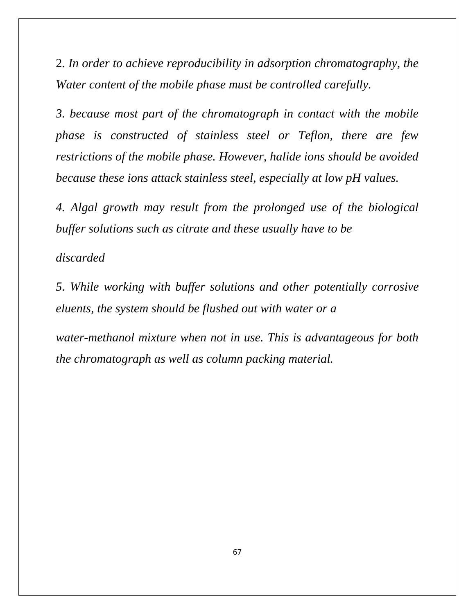2. *In order to achieve reproducibility in adsorption chromatography, the Water content of the mobile phase must be controlled carefully.*

*3. because most part of the chromatograph in contact with the mobile phase is constructed of stainless steel or Teflon, there are few restrictions of the mobile phase. However, halide ions should be avoided because these ions attack stainless steel, especially at low pH values.*

*4. Algal growth may result from the prolonged use of the biological buffer solutions such as citrate and these usually have to be*

*discarded*

*5. While working with buffer solutions and other potentially corrosive eluents, the system should be flushed out with water or a*

*water-methanol mixture when not in use. This is advantageous for both the chromatograph as well as column packing material.*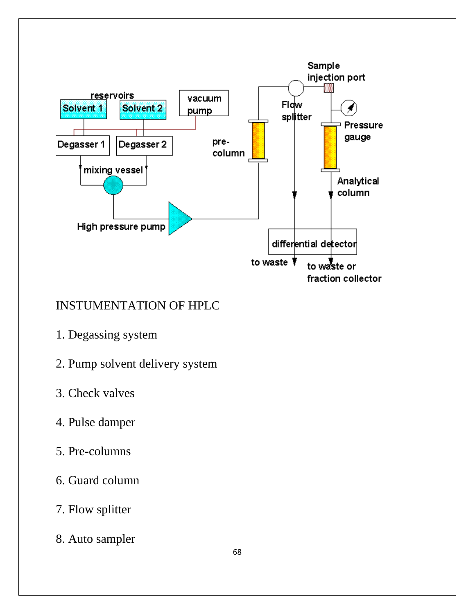

# INSTUMENTATION OF HPLC

- 1. Degassing system
- 2. Pump solvent delivery system
- 3. Check valves
- 4. Pulse damper
- 5. Pre-columns
- 6. Guard column
- 7. Flow splitter
- 8. Auto sampler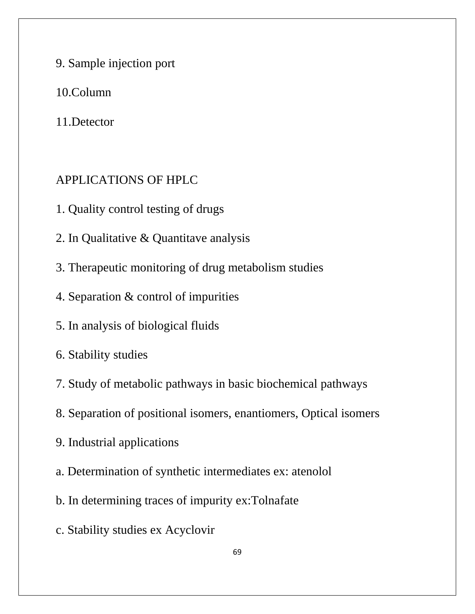- 9. Sample injection port
- 10.Column
- 11.Detector

#### APPLICATIONS OF HPLC

- 1. Quality control testing of drugs
- 2. In Qualitative & Quantitave analysis
- 3. Therapeutic monitoring of drug metabolism studies
- 4. Separation & control of impurities
- 5. In analysis of biological fluids
- 6. Stability studies
- 7. Study of metabolic pathways in basic biochemical pathways
- 8. Separation of positional isomers, enantiomers, Optical isomers
- 9. Industrial applications
- a. Determination of synthetic intermediates ex: atenolol
- b. In determining traces of impurity ex:Tolnafate
- c. Stability studies ex Acyclovir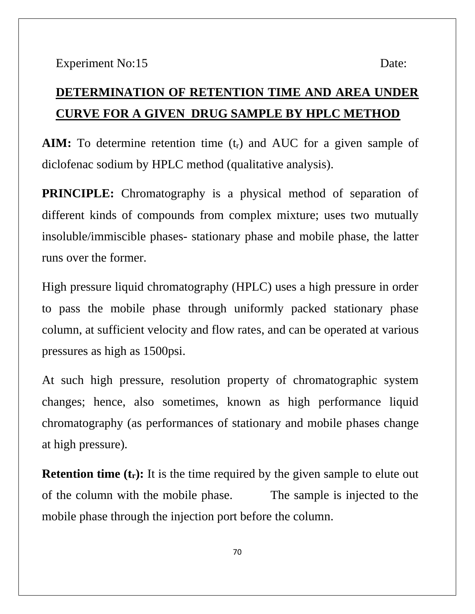# **DETERMINATION OF RETENTION TIME AND AREA UNDER CURVE FOR A GIVEN DRUG SAMPLE BY HPLC METHOD**

**AIM:** To determine retention time  $(t_r)$  and AUC for a given sample of diclofenac sodium by HPLC method (qualitative analysis).

**PRINCIPLE:** Chromatography is a physical method of separation of different kinds of compounds from complex mixture; uses two mutually insoluble/immiscible phases- stationary phase and mobile phase, the latter runs over the former.

High pressure liquid chromatography (HPLC) uses a high pressure in order to pass the mobile phase through uniformly packed stationary phase column, at sufficient velocity and flow rates, and can be operated at various pressures as high as 1500psi.

At such high pressure, resolution property of chromatographic system changes; hence, also sometimes, known as high performance liquid chromatography (as performances of stationary and mobile phases change at high pressure).

**Retention time (t<sub>r</sub>):** It is the time required by the given sample to elute out of the column with the mobile phase. The sample is injected to the mobile phase through the injection port before the column.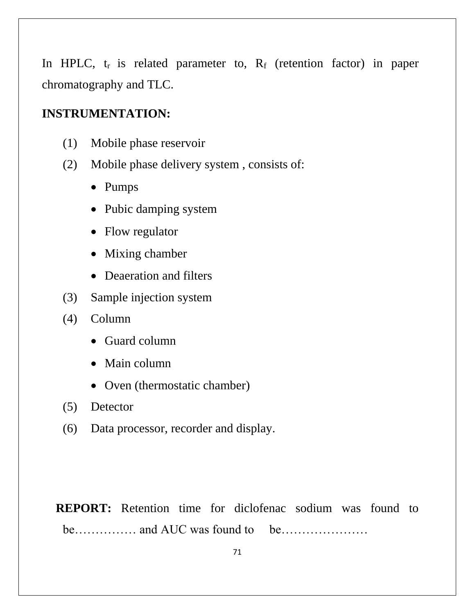In HPLC,  $t_r$  is related parameter to,  $R_f$  (retention factor) in paper chromatography and TLC.

# **INSTRUMENTATION:**

- (1) Mobile phase reservoir
- (2) Mobile phase delivery system , consists of:
	- Pumps
	- Pubic damping system
	- Flow regulator
	- Mixing chamber
	- Deaeration and filters
- (3) Sample injection system
- (4) Column
	- Guard column
	- Main column
	- Oven (thermostatic chamber)
- (5) Detector
- (6) Data processor, recorder and display.

**REPORT:** Retention time for diclofenac sodium was found to be…………… and AUC was found to be…………………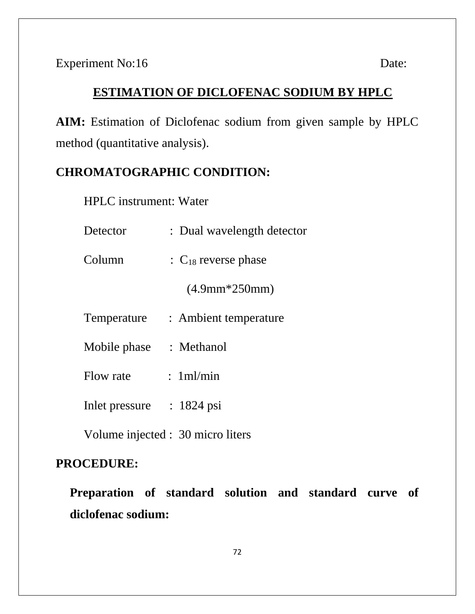# **ESTIMATION OF DICLOFENAC SODIUM BY HPLC**

**AIM:** Estimation of Diclofenac sodium from given sample by HPLC method (quantitative analysis).

# **CHROMATOGRAPHIC CONDITION:**

HPLC instrument: Water

| Detector       | : Dual wavelength detector                 |
|----------------|--------------------------------------------|
| Column         | $\therefore$ C <sub>18</sub> reverse phase |
|                | $(4.9mm*250mm)$                            |
| Temperature    | : Ambient temperature                      |
| Mobile phase   | : Methanol                                 |
| Flow rate      | : 1ml/min                                  |
| Inlet pressure | $: 1824$ psi                               |
|                |                                            |

Volume injected : 30 micro liters

# **PROCEDURE:**

**Preparation of standard solution and standard curve of diclofenac sodium:**